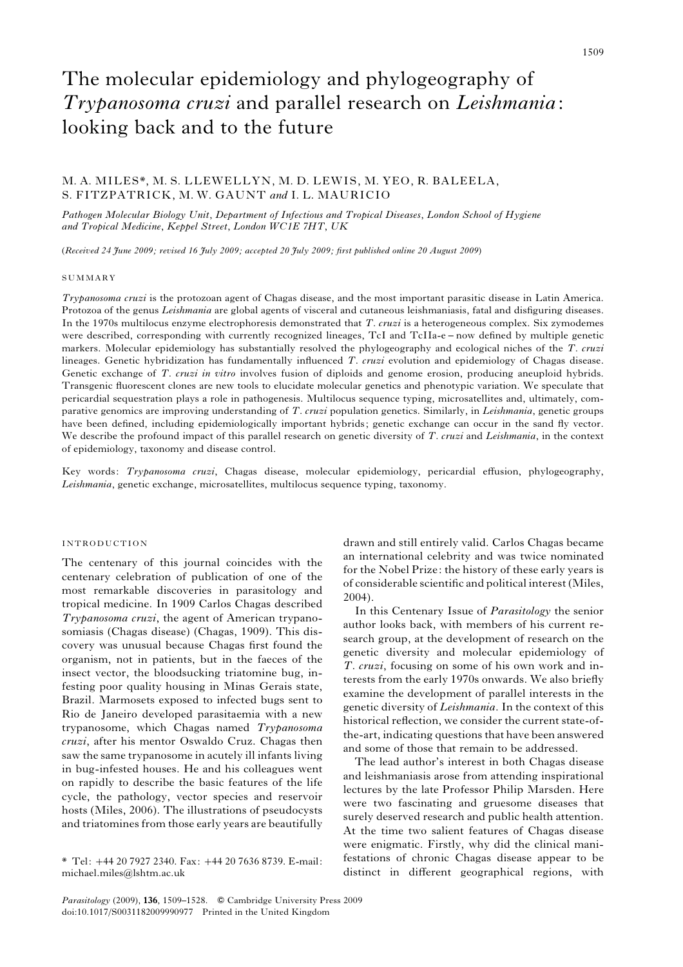# The molecular epidemiology and phylogeography of Trypanosoma cruzi and parallel research on Leishmania: looking back and to the future

# M. A. MILES\*, M. S. LLEWELLYN, M. D. LEWIS, M. YEO, R. BALEELA, S. FITZPATRICK, M. W. GAUNT and I. L. MAURICIO

Pathogen Molecular Biology Unit, Department of Infectious and Tropical Diseases, London School of Hygiene and Tropical Medicine, Keppel Street, London WC1E 7HT, UK

(Received 24 June 2009; revised 16 July 2009; accepted 20 July 2009; first published online 20 August 2009)

#### SUMMARY

Trypanosoma cruzi is the protozoan agent of Chagas disease, and the most important parasitic disease in Latin America. Protozoa of the genus *Leishmania* are global agents of visceral and cutaneous leishmaniasis, fatal and disfiguring diseases. In the 1970s multilocus enzyme electrophoresis demonstrated that T. cruzi is a heterogeneous complex. Six zymodemes were described, corresponding with currently recognized lineages, TcI and TcIIa-e – now defined by multiple genetic markers. Molecular epidemiology has substantially resolved the phylogeography and ecological niches of the T. cruzi lineages. Genetic hybridization has fundamentally influenced T. cruzi evolution and epidemiology of Chagas disease. Genetic exchange of T. cruzi in vitro involves fusion of diploids and genome erosion, producing aneuploid hybrids. Transgenic fluorescent clones are new tools to elucidate molecular genetics and phenotypic variation. We speculate that pericardial sequestration plays a role in pathogenesis. Multilocus sequence typing, microsatellites and, ultimately, comparative genomics are improving understanding of T. cruzi population genetics. Similarly, in Leishmania, genetic groups have been defined, including epidemiologically important hybrids; genetic exchange can occur in the sand fly vector. We describe the profound impact of this parallel research on genetic diversity of  $T$ . cruzi and Leishmania, in the context of epidemiology, taxonomy and disease control.

Key words: Trypanosoma cruzi, Chagas disease, molecular epidemiology, pericardial effusion, phylogeography, Leishmania, genetic exchange, microsatellites, multilocus sequence typing, taxonomy.

#### INTRODUCTION

The centenary of this journal coincides with the centenary celebration of publication of one of the most remarkable discoveries in parasitology and tropical medicine. In 1909 Carlos Chagas described Trypanosoma cruzi, the agent of American trypanosomiasis (Chagas disease) (Chagas, 1909). This discovery was unusual because Chagas first found the organism, not in patients, but in the faeces of the insect vector, the bloodsucking triatomine bug, infesting poor quality housing in Minas Gerais state, Brazil. Marmosets exposed to infected bugs sent to Rio de Janeiro developed parasitaemia with a new trypanosome, which Chagas named Trypanosoma cruzi, after his mentor Oswaldo Cruz. Chagas then saw the same trypanosome in acutely ill infants living in bug-infested houses. He and his colleagues went on rapidly to describe the basic features of the life cycle, the pathology, vector species and reservoir hosts (Miles, 2006). The illustrations of pseudocysts and triatomines from those early years are beautifully

\* Tel: +44 20 7927 2340. Fax: +44 20 7636 8739. E-mail: michael.miles@lshtm.ac.uk

drawn and still entirely valid. Carlos Chagas became an international celebrity and was twice nominated for the Nobel Prize: the history of these early years is of considerable scientific and political interest (Miles, 2004).

In this Centenary Issue of *Parasitology* the senior author looks back, with members of his current research group, at the development of research on the genetic diversity and molecular epidemiology of T. cruzi, focusing on some of his own work and interests from the early 1970s onwards. We also briefly examine the development of parallel interests in the genetic diversity of Leishmania. In the context of this historical reflection, we consider the current state-ofthe-art, indicating questions that have been answered and some of those that remain to be addressed.

The lead author's interest in both Chagas disease and leishmaniasis arose from attending inspirational lectures by the late Professor Philip Marsden. Here were two fascinating and gruesome diseases that surely deserved research and public health attention. At the time two salient features of Chagas disease were enigmatic. Firstly, why did the clinical manifestations of chronic Chagas disease appear to be distinct in different geographical regions, with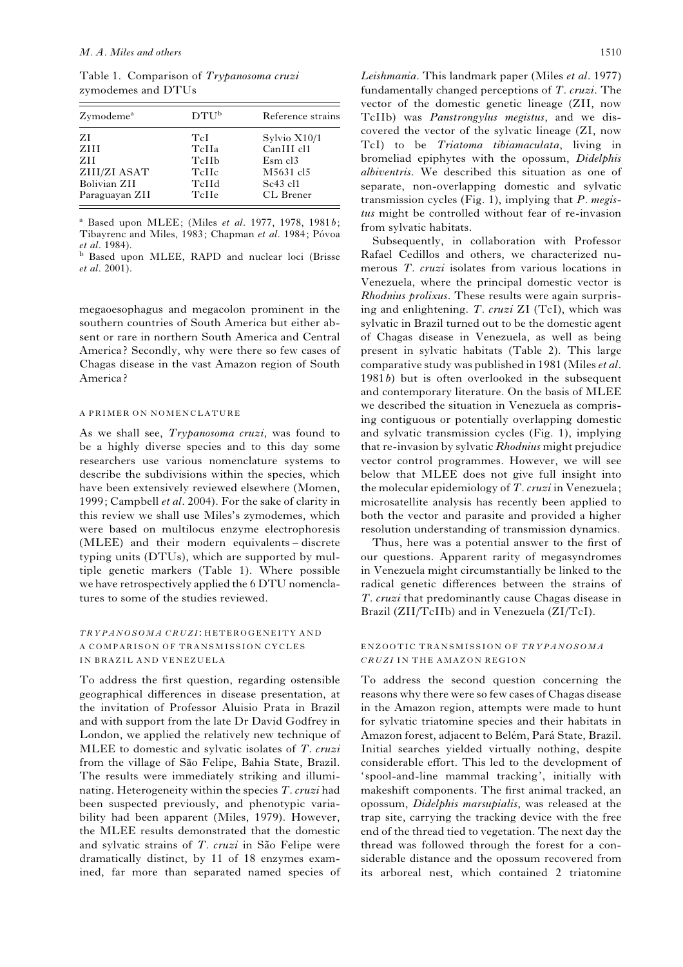Table 1. Comparison of Trypanosoma cruzi zymodemes and DTUs

| Zymodeme <sup>a</sup> | $DTU^b$ | Reference strains   |
|-----------------------|---------|---------------------|
| ZI                    | TcI     | Sylvio X10/1        |
| ZHI                   | TcIIa   | CanIII cl1          |
| ZH.                   | TeIIb   | Esm cl <sub>3</sub> |
| ZIII/ZI ASAT          | TeHe    | M5631 cl5           |
| Bolivian ZII          | TcIId   | $Sc43$ cl1          |
| Paraguayan ZII        | TcHe    | CL Brener           |

 $a$  Based upon MLEE; (Miles et al. 1977, 1978, 1981b; Tibayrenc and Miles, 1983; Chapman et al. 1984; Póvoa et al. 1984).

<sup>b</sup> Based upon MLEE, RAPD and nuclear loci (Brisse et al. 2001).

megaoesophagus and megacolon prominent in the southern countries of South America but either absent or rare in northern South America and Central America ? Secondly, why were there so few cases of Chagas disease in the vast Amazon region of South America ?

#### A PRIMER ON NOMENCLATURE

As we shall see, Trypanosoma cruzi, was found to be a highly diverse species and to this day some researchers use various nomenclature systems to describe the subdivisions within the species, which have been extensively reviewed elsewhere (Momen, 1999; Campbell et al. 2004). For the sake of clarity in this review we shall use Miles's zymodemes, which were based on multilocus enzyme electrophoresis (MLEE) and their modern equivalents – discrete typing units (DTUs), which are supported by multiple genetic markers (Table 1). Where possible we have retrospectively applied the 6 DTU nomenclatures to some of the studies reviewed.

# TRYPANOSOMA CRUZI: HETEROGENEITY AND A COMPARISON OF TRANSMISSION CYCLES IN BRAZIL AND VENEZUELA

To address the first question, regarding ostensible geographical differences in disease presentation, at the invitation of Professor Aluisio Prata in Brazil and with support from the late Dr David Godfrey in London, we applied the relatively new technique of MLEE to domestic and sylvatic isolates of T. cruzi from the village of São Felipe, Bahia State, Brazil. The results were immediately striking and illuminating. Heterogeneity within the species T. cruzi had been suspected previously, and phenotypic variability had been apparent (Miles, 1979). However, the MLEE results demonstrated that the domestic and sylvatic strains of  $T. cruzi$  in São Felipe were dramatically distinct, by 11 of 18 enzymes examined, far more than separated named species of

Leishmania. This landmark paper (Miles et al. 1977) fundamentally changed perceptions of T. cruzi. The vector of the domestic genetic lineage (ZII, now TcIIb) was Panstrongylus megistus, and we discovered the vector of the sylvatic lineage (ZI, now TcI) to be Triatoma tibiamaculata, living in bromeliad epiphytes with the opossum, Didelphis albiventris. We described this situation as one of separate, non-overlapping domestic and sylvatic transmission cycles (Fig. 1), implying that  $P$ . megistus might be controlled without fear of re-invasion from sylvatic habitats.

Subsequently, in collaboration with Professor Rafael Cedillos and others, we characterized numerous T. cruzi isolates from various locations in Venezuela, where the principal domestic vector is Rhodnius prolixus. These results were again surprising and enlightening. T. cruzi ZI (TcI), which was sylvatic in Brazil turned out to be the domestic agent of Chagas disease in Venezuela, as well as being present in sylvatic habitats (Table 2). This large comparative study was published in 1981 (Miles et al.  $1981b$ ) but is often overlooked in the subsequent and contemporary literature. On the basis of MLEE we described the situation in Venezuela as comprising contiguous or potentially overlapping domestic and sylvatic transmission cycles (Fig. 1), implying that re-invasion by sylvatic Rhodnius might prejudice vector control programmes. However, we will see below that MLEE does not give full insight into the molecular epidemiology of  $T$ . cruzi in Venezuela; microsatellite analysis has recently been applied to both the vector and parasite and provided a higher resolution understanding of transmission dynamics.

Thus, here was a potential answer to the first of our questions. Apparent rarity of megasyndromes in Venezuela might circumstantially be linked to the radical genetic differences between the strains of T. cruzi that predominantly cause Chagas disease in Brazil (ZII/TcIIb) and in Venezuela (ZI/TcI).

## ENZOOTIC TRANSMISSION OF TRYPANOSOMA CRUZI IN THE AMAZON REGION

To address the second question concerning the reasons why there were so few cases of Chagas disease in the Amazon region, attempts were made to hunt for sylvatic triatomine species and their habitats in Amazon forest, adjacent to Belém, Pará State, Brazil. Initial searches yielded virtually nothing, despite considerable effort. This led to the development of ' spool-and-line mammal tracking', initially with makeshift components. The first animal tracked, an opossum, Didelphis marsupialis, was released at the trap site, carrying the tracking device with the free end of the thread tied to vegetation. The next day the thread was followed through the forest for a considerable distance and the opossum recovered from its arboreal nest, which contained 2 triatomine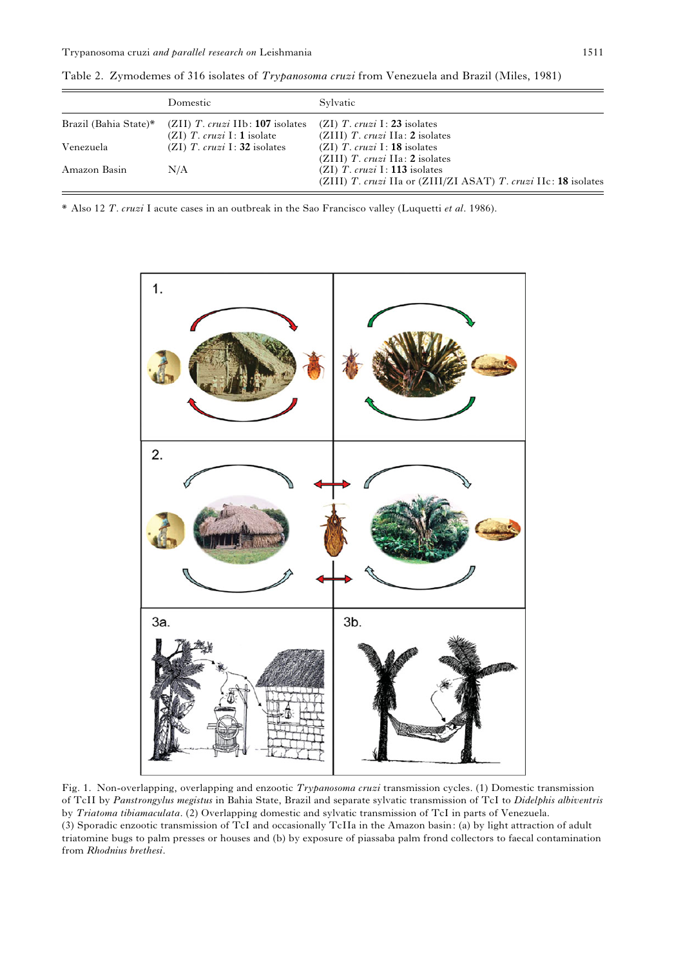|                       | Domestic                                                       | Sylvatic                                                            |
|-----------------------|----------------------------------------------------------------|---------------------------------------------------------------------|
| Brazil (Bahia State)* | $(ZII)$ T. cruzi IIb: 107 isolates                             | $(ZI)$ T. cruzi I: 23 isolates                                      |
| Venezuela             | $(ZI)$ T. cruzi I: 1 isolate<br>$(ZI)$ T. cruzi I: 32 isolates | $(ZIII)$ T. cruzi IIa: 2 isolates<br>$(ZI)$ T. cruzi I: 18 isolates |
|                       |                                                                | $(ZIII)$ T. cruzi IIa: 2 isolates                                   |
| Amazon Basin          | N/A                                                            | $(ZI)$ T. cruzi I: 113 isolates                                     |
|                       |                                                                | (ZIII) T. cruzi IIa or (ZIII/ZI ASAT) T. cruzi IIc: 18 isolates     |

Table 2. Zymodemes of 316 isolates of Trypanosoma cruzi from Venezuela and Brazil (Miles, 1981)

\* Also 12 T. cruzi I acute cases in an outbreak in the Sao Francisco valley (Luquetti et al. 1986).



Fig. 1. Non-overlapping, overlapping and enzootic Trypanosoma cruzi transmission cycles. (1) Domestic transmission of TcII by Panstrongylus megistus in Bahia State, Brazil and separate sylvatic transmission of TcI to Didelphis albiventris by Triatoma tibiamaculata. (2) Overlapping domestic and sylvatic transmission of TcI in parts of Venezuela. (3) Sporadic enzootic transmission of TcI and occasionally TcIIa in the Amazon basin: (a) by light attraction of adult triatomine bugs to palm presses or houses and (b) by exposure of piassaba palm frond collectors to faecal contamination from Rhodnius brethesi.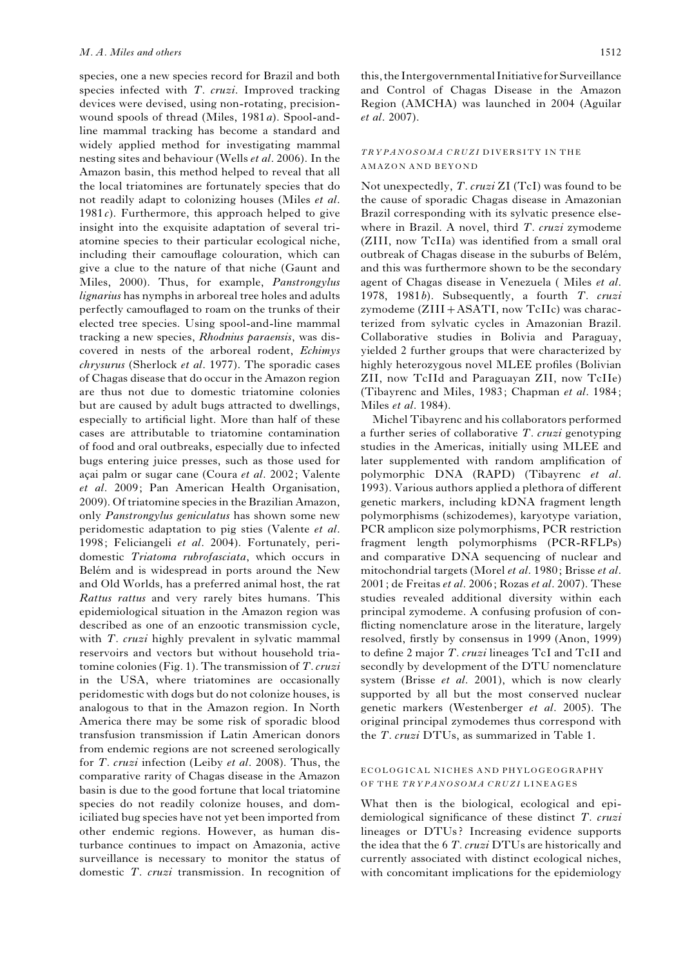species, one a new species record for Brazil and both species infected with T. cruzi. Improved tracking devices were devised, using non-rotating, precisionwound spools of thread (Miles, 1981a). Spool-andline mammal tracking has become a standard and widely applied method for investigating mammal nesting sites and behaviour (Wells et al. 2006). In the Amazon basin, this method helped to reveal that all the local triatomines are fortunately species that do not readily adapt to colonizing houses (Miles et al. 1981 $c$ ). Furthermore, this approach helped to give insight into the exquisite adaptation of several triatomine species to their particular ecological niche, including their camouflage colouration, which can give a clue to the nature of that niche (Gaunt and Miles, 2000). Thus, for example, Panstrongylus lignarius has nymphs in arboreal tree holes and adults perfectly camouflaged to roam on the trunks of their elected tree species. Using spool-and-line mammal tracking a new species, Rhodnius paraensis, was discovered in nests of the arboreal rodent, Echimys chrysurus (Sherlock et al. 1977). The sporadic cases of Chagas disease that do occur in the Amazon region are thus not due to domestic triatomine colonies but are caused by adult bugs attracted to dwellings, especially to artificial light. More than half of these cases are attributable to triatomine contamination of food and oral outbreaks, especially due to infected bugs entering juice presses, such as those used for acai palm or sugar cane (Coura et al.  $2002$ ; Valente et al. 2009; Pan American Health Organisation, 2009). Of triatomine species in the Brazilian Amazon, only Panstrongylus geniculatus has shown some new peridomestic adaptation to pig sties (Valente et al. 1998; Feliciangeli et al. 2004). Fortunately, peridomestic Triatoma rubrofasciata, which occurs in Belém and is widespread in ports around the New and Old Worlds, has a preferred animal host, the rat Rattus rattus and very rarely bites humans. This epidemiological situation in the Amazon region was described as one of an enzootic transmission cycle, with T. cruzi highly prevalent in sylvatic mammal reservoirs and vectors but without household triatomine colonies (Fig. 1). The transmission of  $T$ . cruzi in the USA, where triatomines are occasionally peridomestic with dogs but do not colonize houses, is analogous to that in the Amazon region. In North America there may be some risk of sporadic blood transfusion transmission if Latin American donors from endemic regions are not screened serologically for T. cruzi infection (Leiby et al. 2008). Thus, the comparative rarity of Chagas disease in the Amazon basin is due to the good fortune that local triatomine species do not readily colonize houses, and domiciliated bug species have not yet been imported from other endemic regions. However, as human disturbance continues to impact on Amazonia, active surveillance is necessary to monitor the status of domestic T. cruzi transmission. In recognition of

this, the Intergovernmental Initiative for Surveillance and Control of Chagas Disease in the Amazon Region (AMCHA) was launched in 2004 (Aguilar et al. 2007).

## TRYPANOSOMA CRUZI DIVERSITY IN THE AMAZON AND BEYOND

Not unexpectedly, T. cruzi ZI (TcI) was found to be the cause of sporadic Chagas disease in Amazonian Brazil corresponding with its sylvatic presence elsewhere in Brazil. A novel, third T. cruzi zymodeme (ZIII, now TcIIa) was identified from a small oral outbreak of Chagas disease in the suburbs of Belém, and this was furthermore shown to be the secondary agent of Chagas disease in Venezuela ( Miles et al. 1978, 1981b). Subsequently, a fourth  $T$ . cruzi zymodeme  $(ZIII + ASATI, now TcIIc)$  was characterized from sylvatic cycles in Amazonian Brazil. Collaborative studies in Bolivia and Paraguay, yielded 2 further groups that were characterized by highly heterozygous novel MLEE profiles (Bolivian ZII, now TcIId and Paraguayan ZII, now TcIIe) (Tibayrenc and Miles, 1983; Chapman et al. 1984; Miles et al. 1984).

Michel Tibayrenc and his collaborators performed a further series of collaborative T. cruzi genotyping studies in the Americas, initially using MLEE and later supplemented with random amplification of polymorphic DNA (RAPD) (Tibayrenc et al. 1993). Various authors applied a plethora of different genetic markers, including kDNA fragment length polymorphisms (schizodemes), karyotype variation, PCR amplicon size polymorphisms, PCR restriction fragment length polymorphisms (PCR-RFLPs) and comparative DNA sequencing of nuclear and mitochondrial targets (Morel et al. 1980; Brisse et al. 2001; de Freitas et al. 2006; Rozas et al. 2007). These studies revealed additional diversity within each principal zymodeme. A confusing profusion of conflicting nomenclature arose in the literature, largely resolved, firstly by consensus in 1999 (Anon, 1999) to define 2 major T. cruzi lineages TcI and TcII and secondly by development of the DTU nomenclature system (Brisse *et al.* 2001), which is now clearly supported by all but the most conserved nuclear genetic markers (Westenberger et al. 2005). The original principal zymodemes thus correspond with the T. cruzi DTUs, as summarized in Table 1.

## ECOLOGICAL NICHES AND PHYLOGEOGRAPHY OF THE TRYPANOSOMA CRUZI LINEAGES

What then is the biological, ecological and epidemiological significance of these distinct T. cruzi lineages or DTUs ? Increasing evidence supports the idea that the 6 T. cruzi DTUs are historically and currently associated with distinct ecological niches, with concomitant implications for the epidemiology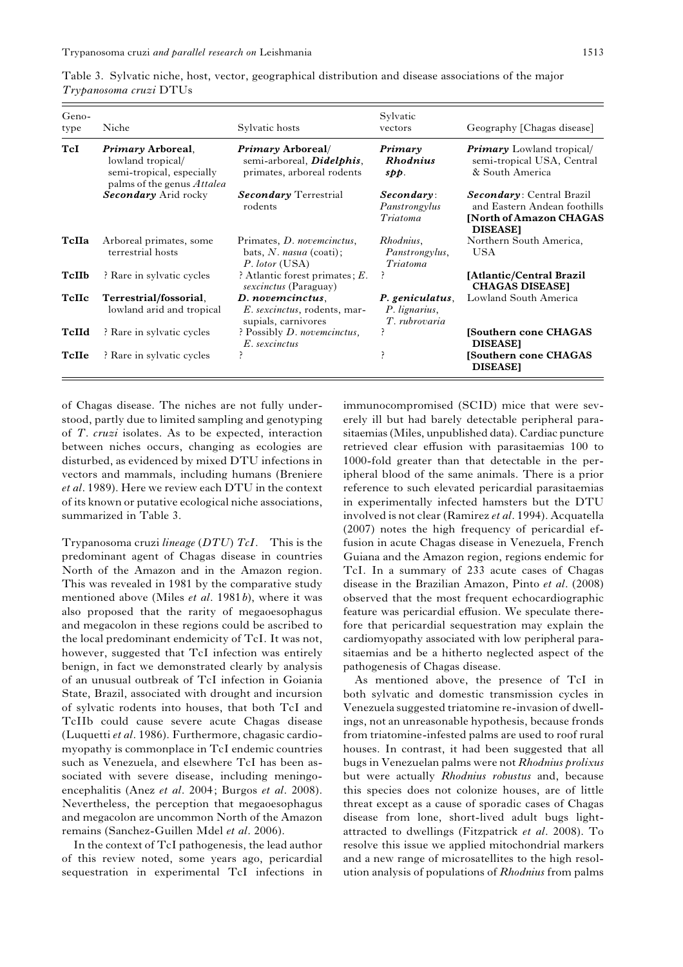|                        |  | Table 3. Sylvatic niche, host, vector, geographical distribution and disease associations of the major |  |  |  |
|------------------------|--|--------------------------------------------------------------------------------------------------------|--|--|--|
| Trypanosoma cruzi DTUs |  |                                                                                                        |  |  |  |

| Geno-<br>type | Niche                                                                                             | Sylvatic hosts                                                                               | Sylvatic<br>vectors                               | Geography [Chagas disease]                                                                                    |
|---------------|---------------------------------------------------------------------------------------------------|----------------------------------------------------------------------------------------------|---------------------------------------------------|---------------------------------------------------------------------------------------------------------------|
| TcI           | Primary Arboreal.<br>lowland tropical/<br>semi-tropical, especially<br>palms of the genus Attalea | <b>Primary Arboreal</b> /<br>semi-arboreal, <i>Didelphis</i> ,<br>primates, arboreal rodents | Primary<br><b>Rhodnius</b><br>spp.                | <b>Primary</b> Lowland tropical/<br>semi-tropical USA, Central<br>& South America                             |
|               | <b>Secondary</b> Arid rocky                                                                       | <b>Secondary</b> Terrestrial<br>rodents                                                      | Secondary:<br>Panstrongylus<br>Triatoma           | <b>Secondary:</b> Central Brazil<br>and Eastern Andean foothills<br>[North of Amazon CHAGAS<br><b>DISEASE</b> |
| TcIIa         | Arboreal primates, some<br>terrestrial hosts                                                      | Primates, <i>D. novemcinctus</i> ,<br>bats, N. <i>nasua</i> (coati);<br>P. lotor (USA)       | Rhodnius,<br>Panstrongylus,<br>Triatoma           | Northern South America,<br><b>USA</b>                                                                         |
| TcIIb         | ? Rare in sylvatic cycles                                                                         | ? Atlantic forest primates; $E$ .<br>sexcinctus (Paraguay)                                   | P                                                 | [Atlantic/Central Brazil]<br><b>CHAGAS DISEASE1</b>                                                           |
| <b>TcIIc</b>  | Terrestrial/fossorial,<br>lowland arid and tropical                                               | D. novemcinctus,<br>E. sexcinctus, rodents, mar-<br>supials, carnivores                      | P. geniculatus,<br>P. lignarius,<br>T. rubrovaria | Lowland South America                                                                                         |
| <b>TcIId</b>  | ? Rare in sylvatic cycles                                                                         | ? Possibly <i>D. novemcinctus</i> ,<br>E. sexcinctus                                         |                                                   | <b>[Southern cone CHAGAS</b><br><b>DISEASE</b>                                                                |
| TcIIe         | ? Rare in sylvatic cycles                                                                         |                                                                                              | ?                                                 | <b>[Southern cone CHAGAS</b><br><b>DISEASE]</b>                                                               |

of Chagas disease. The niches are not fully understood, partly due to limited sampling and genotyping of T. cruzi isolates. As to be expected, interaction between niches occurs, changing as ecologies are disturbed, as evidenced by mixed DTU infections in vectors and mammals, including humans (Breniere et al. 1989). Here we review each DTU in the context of its known or putative ecological niche associations, summarized in Table 3.

Trypanosoma cruzi lineage  $(DTU)$   $TcI$ . This is the predominant agent of Chagas disease in countries North of the Amazon and in the Amazon region. This was revealed in 1981 by the comparative study mentioned above (Miles *et al.* 1981*b*), where it was also proposed that the rarity of megaoesophagus and megacolon in these regions could be ascribed to the local predominant endemicity of TcI. It was not, however, suggested that TcI infection was entirely benign, in fact we demonstrated clearly by analysis of an unusual outbreak of TcI infection in Goiania State, Brazil, associated with drought and incursion of sylvatic rodents into houses, that both TcI and TcIIb could cause severe acute Chagas disease (Luquetti et al. 1986). Furthermore, chagasic cardiomyopathy is commonplace in TcI endemic countries such as Venezuela, and elsewhere TcI has been associated with severe disease, including meningoencephalitis (Anez et al. 2004; Burgos et al. 2008). Nevertheless, the perception that megaoesophagus and megacolon are uncommon North of the Amazon remains (Sanchez-Guillen Mdel et al. 2006).

In the context of TcI pathogenesis, the lead author of this review noted, some years ago, pericardial sequestration in experimental TcI infections in

immunocompromised (SCID) mice that were severely ill but had barely detectable peripheral parasitaemias (Miles, unpublished data). Cardiac puncture retrieved clear effusion with parasitaemias 100 to 1000-fold greater than that detectable in the peripheral blood of the same animals. There is a prior reference to such elevated pericardial parasitaemias in experimentally infected hamsters but the DTU involved is not clear (Ramirez et al. 1994). Acquatella (2007) notes the high frequency of pericardial effusion in acute Chagas disease in Venezuela, French Guiana and the Amazon region, regions endemic for TcI. In a summary of 233 acute cases of Chagas disease in the Brazilian Amazon, Pinto et al. (2008) observed that the most frequent echocardiographic feature was pericardial effusion. We speculate therefore that pericardial sequestration may explain the cardiomyopathy associated with low peripheral parasitaemias and be a hitherto neglected aspect of the pathogenesis of Chagas disease.

As mentioned above, the presence of TcI in both sylvatic and domestic transmission cycles in Venezuela suggested triatomine re-invasion of dwellings, not an unreasonable hypothesis, because fronds from triatomine-infested palms are used to roof rural houses. In contrast, it had been suggested that all bugs in Venezuelan palms were not Rhodnius prolixus but were actually Rhodnius robustus and, because this species does not colonize houses, are of little threat except as a cause of sporadic cases of Chagas disease from lone, short-lived adult bugs lightattracted to dwellings (Fitzpatrick et al. 2008). To resolve this issue we applied mitochondrial markers and a new range of microsatellites to the high resolution analysis of populations of Rhodnius from palms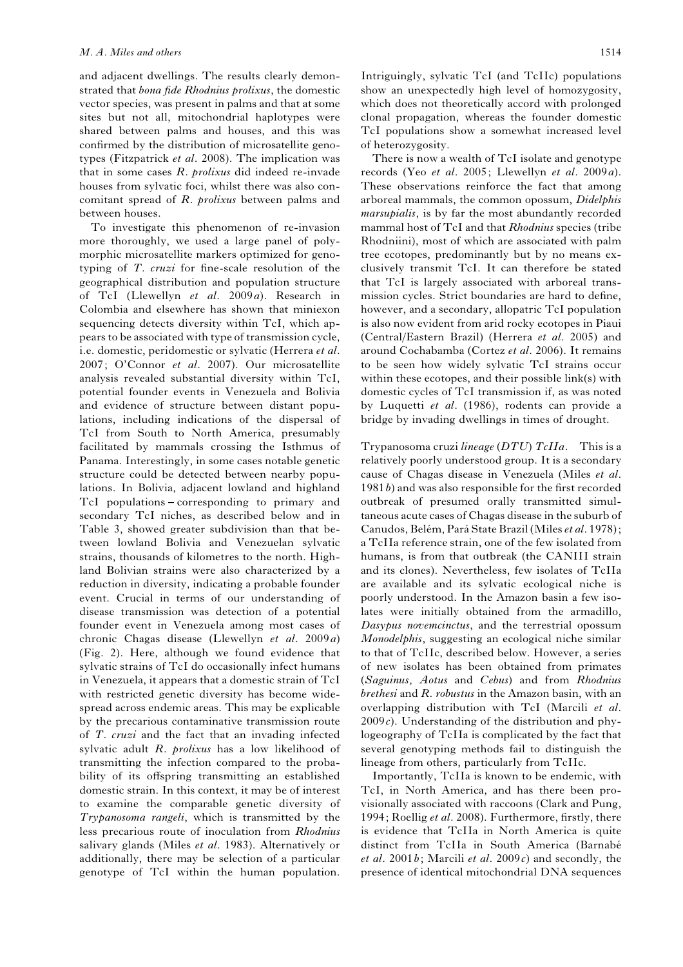and adjacent dwellings. The results clearly demonstrated that bona fide Rhodnius prolixus, the domestic vector species, was present in palms and that at some sites but not all, mitochondrial haplotypes were shared between palms and houses, and this was confirmed by the distribution of microsatellite genotypes (Fitzpatrick et al. 2008). The implication was that in some cases  $R$ . *prolixus* did indeed re-invade houses from sylvatic foci, whilst there was also concomitant spread of R. prolixus between palms and between houses.

To investigate this phenomenon of re-invasion more thoroughly, we used a large panel of polymorphic microsatellite markers optimized for genotyping of T. cruzi for fine-scale resolution of the geographical distribution and population structure of TcI (Llewellyn et al. 2009a). Research in Colombia and elsewhere has shown that miniexon sequencing detects diversity within TcI, which appears to be associated with type of transmission cycle, i.e. domestic, peridomestic or sylvatic (Herrera et al. 2007; O'Connor et al. 2007). Our microsatellite analysis revealed substantial diversity within TcI, potential founder events in Venezuela and Bolivia and evidence of structure between distant populations, including indications of the dispersal of TcI from South to North America, presumably facilitated by mammals crossing the Isthmus of Panama. Interestingly, in some cases notable genetic structure could be detected between nearby populations. In Bolivia, adjacent lowland and highland TcI populations – corresponding to primary and secondary TcI niches, as described below and in Table 3, showed greater subdivision than that between lowland Bolivia and Venezuelan sylvatic strains, thousands of kilometres to the north. Highland Bolivian strains were also characterized by a reduction in diversity, indicating a probable founder event. Crucial in terms of our understanding of disease transmission was detection of a potential founder event in Venezuela among most cases of chronic Chagas disease (Llewellyn et al. 2009a) (Fig. 2). Here, although we found evidence that sylvatic strains of TcI do occasionally infect humans in Venezuela, it appears that a domestic strain of TcI with restricted genetic diversity has become widespread across endemic areas. This may be explicable by the precarious contaminative transmission route of T. cruzi and the fact that an invading infected sylvatic adult R. prolixus has a low likelihood of transmitting the infection compared to the probability of its offspring transmitting an established domestic strain. In this context, it may be of interest to examine the comparable genetic diversity of Trypanosoma rangeli, which is transmitted by the less precarious route of inoculation from Rhodnius salivary glands (Miles et al. 1983). Alternatively or additionally, there may be selection of a particular genotype of TcI within the human population.

Intriguingly, sylvatic TcI (and TcIIc) populations show an unexpectedly high level of homozygosity, which does not theoretically accord with prolonged clonal propagation, whereas the founder domestic TcI populations show a somewhat increased level of heterozygosity.

There is now a wealth of TcI isolate and genotype records (Yeo et al. 2005; Llewellyn et al. 2009a). These observations reinforce the fact that among arboreal mammals, the common opossum, Didelphis marsupialis, is by far the most abundantly recorded mammal host of TcI and that Rhodnius species (tribe Rhodniini), most of which are associated with palm tree ecotopes, predominantly but by no means exclusively transmit TcI. It can therefore be stated that TcI is largely associated with arboreal transmission cycles. Strict boundaries are hard to define, however, and a secondary, allopatric TcI population is also now evident from arid rocky ecotopes in Piaui (Central/Eastern Brazil) (Herrera et al. 2005) and around Cochabamba (Cortez et al. 2006). It remains to be seen how widely sylvatic TcI strains occur within these ecotopes, and their possible link(s) with domestic cycles of TcI transmission if, as was noted by Luquetti et al. (1986), rodents can provide a bridge by invading dwellings in times of drought.

Trypanosoma cruzi lineage (DTU) TcIIa. This is a relatively poorly understood group. It is a secondary cause of Chagas disease in Venezuela (Miles et al. 1981b) and was also responsible for the first recorded outbreak of presumed orally transmitted simultaneous acute cases of Chagas disease in the suburb of Canudos, Belém, Pará State Brazil (Miles et al. 1978); a TcIIa reference strain, one of the few isolated from humans, is from that outbreak (the CANIII strain and its clones). Nevertheless, few isolates of TcIIa are available and its sylvatic ecological niche is poorly understood. In the Amazon basin a few isolates were initially obtained from the armadillo, Dasypus novemcinctus, and the terrestrial opossum Monodelphis, suggesting an ecological niche similar to that of TcIIc, described below. However, a series of new isolates has been obtained from primates (Saguinus, Aotus and Cebus) and from Rhodnius brethesi and R. robustus in the Amazon basin, with an overlapping distribution with TcI (Marcili et al.  $2009c$ ). Understanding of the distribution and phylogeography of TcIIa is complicated by the fact that several genotyping methods fail to distinguish the lineage from others, particularly from TcIIc.

Importantly, TcIIa is known to be endemic, with TcI, in North America, and has there been provisionally associated with raccoons (Clark and Pung, 1994; Roellig *et al.* 2008). Furthermore, firstly, there is evidence that TcIIa in North America is quite distinct from TcIIa in South America (Barnabé et al. 2001b; Marcili et al. 2009 $c$ ) and secondly, the presence of identical mitochondrial DNA sequences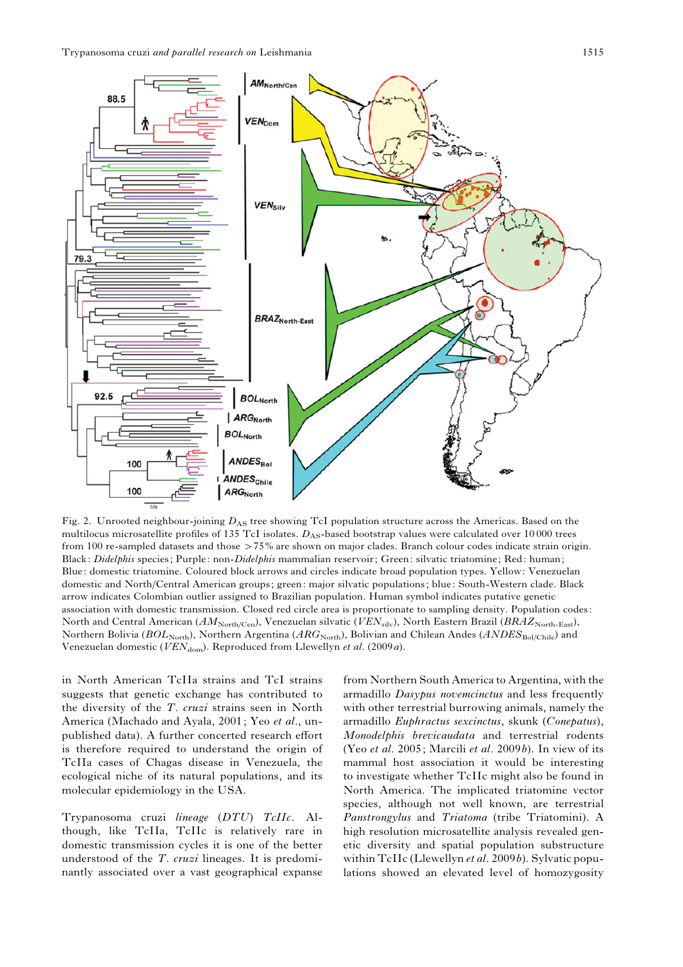

Fig. 2. Unrooted neighbour-joining  $D_{AS}$  tree showing TcI population structure across the Americas. Based on the multilocus microsatellite profiles of 135 TcI isolates.  $D_{AS}$ -based bootstrap values were calculated over 10 000 trees from 100 re-sampled datasets and those >75% are shown on major clades. Branch colour codes indicate strain origin. Black: Didelphis species; Purple: non-Didelphis mammalian reservoir; Green: silvatic triatomine; Red: human; Blue: domestic triatomine. Coloured block arrows and circles indicate broad population types. Yellow: Venezuelan domestic and North/Central American groups; green: major silvatic populations; blue: South-Western clade. Black arrow indicates Colombian outlier assigned to Brazilian population. Human symbol indicates putative genetic association with domestic transmission. Closed red circle area is proportionate to sampling density. Population codes: North and Central American ( $AM_{\text{North/Cen}}$ ), Venezuelan silvatic ( $VEN_{\text{silv}}$ ), North Eastern Brazil ( $BRAZ_{\text{North-East}}$ ), Northern Bolivia ( $BOL<sub>North</sub>$ ), Northern Argentina ( $ARG<sub>North</sub>$ ), Bolivian and Chilean Andes ( $ANDES<sub>BoI/Chile</sub>$ ) and Venezuelan domestic ( $VEN<sub>dom</sub>$ ). Reproduced from Llewellyn et al. (2009a).

in North American TcIIa strains and TcI strains suggests that genetic exchange has contributed to the diversity of the T. cruzi strains seen in North America (Machado and Ayala, 2001; Yeo et al., unpublished data). A further concerted research effort is therefore required to understand the origin of TcIIa cases of Chagas disease in Venezuela, the ecological niche of its natural populations, and its molecular epidemiology in the USA.

Trypanosoma cruzi lineage (DTU) TcIIc. Although, like TcIIa, TcIIc is relatively rare in domestic transmission cycles it is one of the better understood of the T. cruzi lineages. It is predominantly associated over a vast geographical expanse

from Northern South America to Argentina, with the armadillo Dasypus novemcinctus and less frequently with other terrestrial burrowing animals, namely the armadillo Euphractus sexcinctus, skunk (Conepatus), Monodelphis brevicaudata and terrestrial rodents (Yeo et al. 2005; Marcili et al. 2009b). In view of its mammal host association it would be interesting to investigate whether TcIIc might also be found in North America. The implicated triatomine vector species, although not well known, are terrestrial Panstrongylus and Triatoma (tribe Triatomini). A high resolution microsatellite analysis revealed genetic diversity and spatial population substructure within TcIIc (Llewellyn et al. 2009b). Sylvatic populations showed an elevated level of homozygosity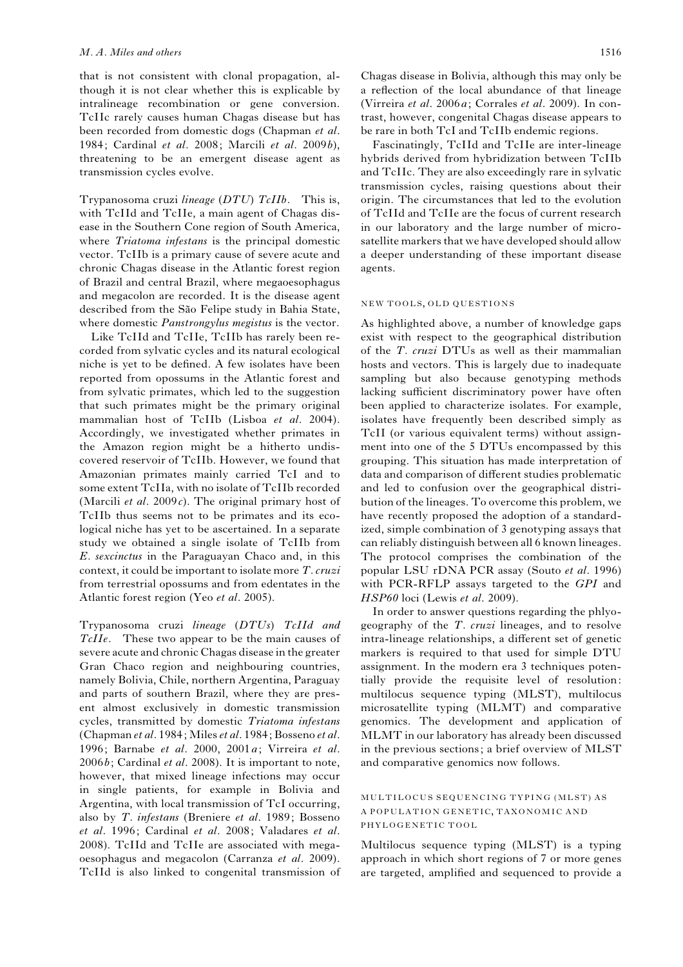that is not consistent with clonal propagation, although it is not clear whether this is explicable by intralineage recombination or gene conversion. TcIIc rarely causes human Chagas disease but has been recorded from domestic dogs (Chapman et al. 1984; Cardinal et al. 2008; Marcili et al. 2009b), threatening to be an emergent disease agent as transmission cycles evolve.

Trypanosoma cruzi *lineage*  $(DTU)$   $TcIIb$ . This is, with TcIId and TcIIe, a main agent of Chagas disease in the Southern Cone region of South America, where *Triatoma infestans* is the principal domestic vector. TcIIb is a primary cause of severe acute and chronic Chagas disease in the Atlantic forest region of Brazil and central Brazil, where megaoesophagus and megacolon are recorded. It is the disease agent described from the São Felipe study in Bahia State, where domestic Panstrongylus megistus is the vector.

Like TcIId and TcIIe, TcIIb has rarely been recorded from sylvatic cycles and its natural ecological niche is yet to be defined. A few isolates have been reported from opossums in the Atlantic forest and from sylvatic primates, which led to the suggestion that such primates might be the primary original mammalian host of TcIIb (Lisboa et al. 2004). Accordingly, we investigated whether primates in the Amazon region might be a hitherto undiscovered reservoir of TcIIb. However, we found that Amazonian primates mainly carried TcI and to some extent TcIIa, with no isolate of TcIIb recorded (Marcili *et al.* 2009 $c$ ). The original primary host of TcIIb thus seems not to be primates and its ecological niche has yet to be ascertained. In a separate study we obtained a single isolate of TcIIb from E. sexcinctus in the Paraguayan Chaco and, in this context, it could be important to isolate more T. cruzi from terrestrial opossums and from edentates in the Atlantic forest region (Yeo et al. 2005).

Trypanosoma cruzi lineage (DTUs) TcIId and TcIIe. These two appear to be the main causes of severe acute and chronic Chagas disease in the greater Gran Chaco region and neighbouring countries, namely Bolivia, Chile, northern Argentina, Paraguay and parts of southern Brazil, where they are present almost exclusively in domestic transmission cycles, transmitted by domestic Triatoma infestans (Chapman et al. 1984; Miles et al. 1984; Bosseno et al. 1996; Barnabe et al. 2000, 2001a; Virreira et al.  $2006b$ ; Cardinal et al. 2008). It is important to note, however, that mixed lineage infections may occur in single patients, for example in Bolivia and Argentina, with local transmission of TcI occurring, also by T. infestans (Breniere et al. 1989; Bosseno et al. 1996; Cardinal et al. 2008; Valadares et al. 2008). TcIId and TcIIe are associated with megaoesophagus and megacolon (Carranza et al. 2009). TcIId is also linked to congenital transmission of

Chagas disease in Bolivia, although this may only be a reflection of the local abundance of that lineage (Virreira et al. 2006a; Corrales et al. 2009). In contrast, however, congenital Chagas disease appears to be rare in both TcI and TcIIb endemic regions.

Fascinatingly, TcIId and TcIIe are inter-lineage hybrids derived from hybridization between TcIIb and TcIIc. They are also exceedingly rare in sylvatic transmission cycles, raising questions about their origin. The circumstances that led to the evolution of TcIId and TcIIe are the focus of current research in our laboratory and the large number of microsatellite markers that we have developed should allow a deeper understanding of these important disease agents.

#### NEW TOOLS, OLD QUESTIONS

As highlighted above, a number of knowledge gaps exist with respect to the geographical distribution of the T. cruzi DTUs as well as their mammalian hosts and vectors. This is largely due to inadequate sampling but also because genotyping methods lacking sufficient discriminatory power have often been applied to characterize isolates. For example, isolates have frequently been described simply as TcII (or various equivalent terms) without assignment into one of the 5 DTUs encompassed by this grouping. This situation has made interpretation of data and comparison of different studies problematic and led to confusion over the geographical distribution of the lineages. To overcome this problem, we have recently proposed the adoption of a standardized, simple combination of 3 genotyping assays that can reliably distinguish between all 6 known lineages. The protocol comprises the combination of the popular LSU rDNA PCR assay (Souto et al. 1996) with PCR-RFLP assays targeted to the GPI and HSP60 loci (Lewis et al. 2009).

In order to answer questions regarding the phlyogeography of the T. cruzi lineages, and to resolve intra-lineage relationships, a different set of genetic markers is required to that used for simple DTU assignment. In the modern era 3 techniques potentially provide the requisite level of resolution: multilocus sequence typing (MLST), multilocus microsatellite typing (MLMT) and comparative genomics. The development and application of MLMT in our laboratory has already been discussed in the previous sections; a brief overview of MLST and comparative genomics now follows.

# MULTILOCUS SEQUENCING TYPING (MLST) AS A POPULATION GENETIC, TAXONOMIC AND PHYLOGENETIC TOOL

Multilocus sequence typing (MLST) is a typing approach in which short regions of 7 or more genes are targeted, amplified and sequenced to provide a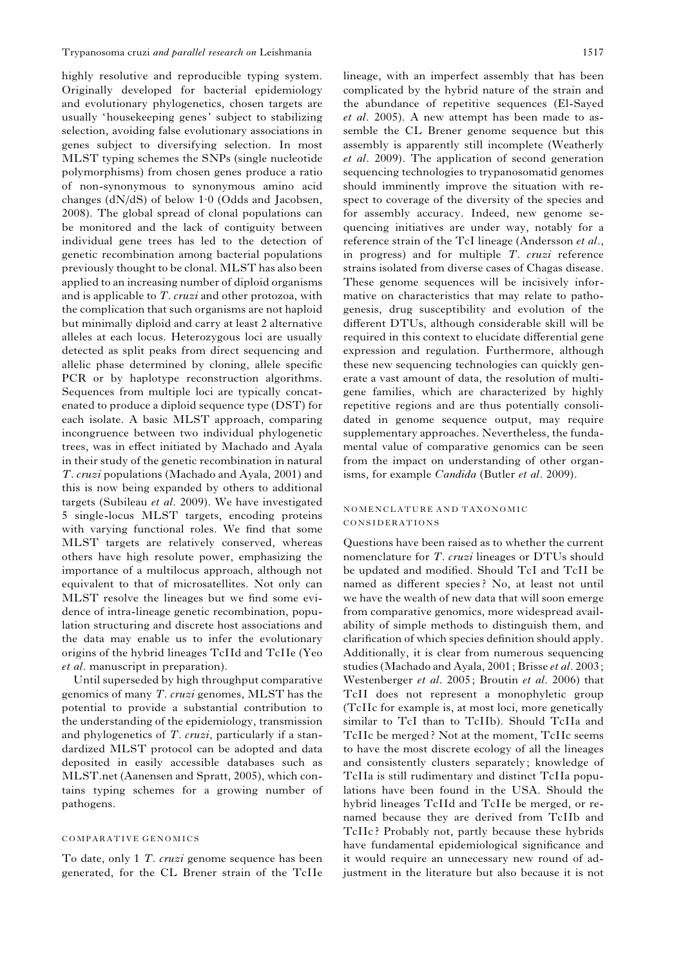highly resolutive and reproducible typing system. Originally developed for bacterial epidemiology and evolutionary phylogenetics, chosen targets are usually 'housekeeping genes' subject to stabilizing selection, avoiding false evolutionary associations in genes subject to diversifying selection. In most MLST typing schemes the SNPs (single nucleotide polymorphisms) from chosen genes produce a ratio of non-synonymous to synonymous amino acid changes ( $dN/dS$ ) of below 1.0 (Odds and Jacobsen, 2008). The global spread of clonal populations can be monitored and the lack of contiguity between individual gene trees has led to the detection of genetic recombination among bacterial populations previously thought to be clonal. MLST has also been applied to an increasing number of diploid organisms and is applicable to T. cruzi and other protozoa, with the complication that such organisms are not haploid but minimally diploid and carry at least 2 alternative alleles at each locus. Heterozygous loci are usually detected as split peaks from direct sequencing and allelic phase determined by cloning, allele specific PCR or by haplotype reconstruction algorithms. Sequences from multiple loci are typically concatenated to produce a diploid sequence type (DST) for each isolate. A basic MLST approach, comparing incongruence between two individual phylogenetic trees, was in effect initiated by Machado and Ayala in their study of the genetic recombination in natural T. cruzi populations (Machado and Ayala, 2001) and this is now being expanded by others to additional targets (Subileau et al. 2009). We have investigated 5 single-locus MLST targets, encoding proteins with varying functional roles. We find that some MLST targets are relatively conserved, whereas others have high resolute power, emphasizing the importance of a multilocus approach, although not equivalent to that of microsatellites. Not only can MLST resolve the lineages but we find some evidence of intra-lineage genetic recombination, population structuring and discrete host associations and the data may enable us to infer the evolutionary origins of the hybrid lineages TcIId and TcIIe (Yeo et al. manuscript in preparation).

Until superseded by high throughput comparative genomics of many T. cruzi genomes, MLST has the potential to provide a substantial contribution to the understanding of the epidemiology, transmission and phylogenetics of T. cruzi, particularly if a standardized MLST protocol can be adopted and data deposited in easily accessible databases such as MLST.net (Aanensen and Spratt, 2005), which contains typing schemes for a growing number of pathogens.

## COMPARATIVE GENOMICS

To date, only 1 T. cruzi genome sequence has been generated, for the CL Brener strain of the TcIIe

lineage, with an imperfect assembly that has been complicated by the hybrid nature of the strain and the abundance of repetitive sequences (El-Sayed et al. 2005). A new attempt has been made to assemble the CL Brener genome sequence but this assembly is apparently still incomplete (Weatherly et al. 2009). The application of second generation sequencing technologies to trypanosomatid genomes should imminently improve the situation with respect to coverage of the diversity of the species and for assembly accuracy. Indeed, new genome sequencing initiatives are under way, notably for a reference strain of the TcI lineage (Andersson et al., in progress) and for multiple T. cruzi reference strains isolated from diverse cases of Chagas disease. These genome sequences will be incisively informative on characteristics that may relate to pathogenesis, drug susceptibility and evolution of the different DTUs, although considerable skill will be required in this context to elucidate differential gene expression and regulation. Furthermore, although these new sequencing technologies can quickly generate a vast amount of data, the resolution of multigene families, which are characterized by highly repetitive regions and are thus potentially consolidated in genome sequence output, may require supplementary approaches. Nevertheless, the fundamental value of comparative genomics can be seen from the impact on understanding of other organisms, for example Candida (Butler et al. 2009).

# NOMENCLATURE AND TAXONOMIC CONSIDERATIONS

Questions have been raised as to whether the current nomenclature for T. cruzi lineages or DTUs should be updated and modified. Should TcI and TcII be named as different species ? No, at least not until we have the wealth of new data that will soon emerge from comparative genomics, more widespread availability of simple methods to distinguish them, and clarification of which species definition should apply. Additionally, it is clear from numerous sequencing studies (Machado and Ayala, 2001; Brisse et al. 2003; Westenberger et al. 2005; Broutin et al. 2006) that TcII does not represent a monophyletic group (TcIIc for example is, at most loci, more genetically similar to TcI than to TcIIb). Should TcIIa and TcIIc be merged ? Not at the moment, TcIIc seems to have the most discrete ecology of all the lineages and consistently clusters separately; knowledge of TcIIa is still rudimentary and distinct TcIIa populations have been found in the USA. Should the hybrid lineages TcIId and TcIIe be merged, or renamed because they are derived from TcIIb and TcIIc ? Probably not, partly because these hybrids have fundamental epidemiological significance and it would require an unnecessary new round of adjustment in the literature but also because it is not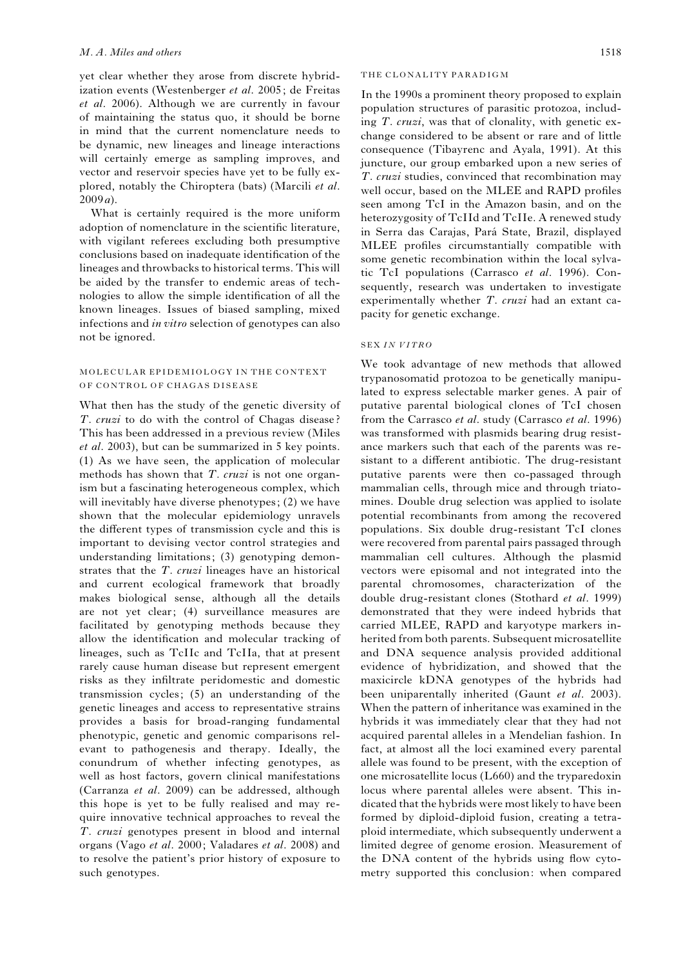yet clear whether they arose from discrete hybridization events (Westenberger et al. 2005; de Freitas et al. 2006). Although we are currently in favour of maintaining the status quo, it should be borne in mind that the current nomenclature needs to be dynamic, new lineages and lineage interactions will certainly emerge as sampling improves, and vector and reservoir species have yet to be fully explored, notably the Chiroptera (bats) (Marcili et al.  $2009a$ ).

What is certainly required is the more uniform adoption of nomenclature in the scientific literature, with vigilant referees excluding both presumptive conclusions based on inadequate identification of the lineages and throwbacks to historical terms. This will be aided by the transfer to endemic areas of technologies to allow the simple identification of all the known lineages. Issues of biased sampling, mixed infections and in vitro selection of genotypes can also not be ignored.

## MOLECULAR EPIDEMIOLOGY IN THE CONTEXT OF CONTROL OF CHAGAS DISEASE

What then has the study of the genetic diversity of T. cruzi to do with the control of Chagas disease ? This has been addressed in a previous review (Miles et al. 2003), but can be summarized in 5 key points. (1) As we have seen, the application of molecular methods has shown that  $T$ . cruzi is not one organism but a fascinating heterogeneous complex, which will inevitably have diverse phenotypes; (2) we have shown that the molecular epidemiology unravels the different types of transmission cycle and this is important to devising vector control strategies and understanding limitations; (3) genotyping demonstrates that the T. cruzi lineages have an historical and current ecological framework that broadly makes biological sense, although all the details are not yet clear; (4) surveillance measures are facilitated by genotyping methods because they allow the identification and molecular tracking of lineages, such as TcIIc and TcIIa, that at present rarely cause human disease but represent emergent risks as they infiltrate peridomestic and domestic transmission cycles; (5) an understanding of the genetic lineages and access to representative strains provides a basis for broad-ranging fundamental phenotypic, genetic and genomic comparisons relevant to pathogenesis and therapy. Ideally, the conundrum of whether infecting genotypes, as well as host factors, govern clinical manifestations (Carranza et al. 2009) can be addressed, although this hope is yet to be fully realised and may require innovative technical approaches to reveal the T. cruzi genotypes present in blood and internal organs (Vago et al. 2000; Valadares et al. 2008) and to resolve the patient's prior history of exposure to such genotypes.

#### THE CLONALITY PARADIGM

In the 1990s a prominent theory proposed to explain population structures of parasitic protozoa, including T. cruzi, was that of clonality, with genetic exchange considered to be absent or rare and of little consequence (Tibayrenc and Ayala, 1991). At this juncture, our group embarked upon a new series of T. cruzi studies, convinced that recombination may well occur, based on the MLEE and RAPD profiles seen among TcI in the Amazon basin, and on the heterozygosity of TcIId and TcIIe. A renewed study in Serra das Carajas, Para´ State, Brazil, displayed MLEE profiles circumstantially compatible with some genetic recombination within the local sylvatic TcI populations (Carrasco et al. 1996). Consequently, research was undertaken to investigate experimentally whether T. cruzi had an extant capacity for genetic exchange.

## SEX IN VITRO

We took advantage of new methods that allowed trypanosomatid protozoa to be genetically manipulated to express selectable marker genes. A pair of putative parental biological clones of TcI chosen from the Carrasco et al. study (Carrasco et al. 1996) was transformed with plasmids bearing drug resistance markers such that each of the parents was resistant to a different antibiotic. The drug-resistant putative parents were then co-passaged through mammalian cells, through mice and through triatomines. Double drug selection was applied to isolate potential recombinants from among the recovered populations. Six double drug-resistant TcI clones were recovered from parental pairs passaged through mammalian cell cultures. Although the plasmid vectors were episomal and not integrated into the parental chromosomes, characterization of the double drug-resistant clones (Stothard et al. 1999) demonstrated that they were indeed hybrids that carried MLEE, RAPD and karyotype markers inherited from both parents. Subsequent microsatellite and DNA sequence analysis provided additional evidence of hybridization, and showed that the maxicircle kDNA genotypes of the hybrids had been uniparentally inherited (Gaunt et al. 2003). When the pattern of inheritance was examined in the hybrids it was immediately clear that they had not acquired parental alleles in a Mendelian fashion. In fact, at almost all the loci examined every parental allele was found to be present, with the exception of one microsatellite locus (L660) and the tryparedoxin locus where parental alleles were absent. This indicated that the hybrids were most likely to have been formed by diploid-diploid fusion, creating a tetraploid intermediate, which subsequently underwent a limited degree of genome erosion. Measurement of the DNA content of the hybrids using flow cytometry supported this conclusion: when compared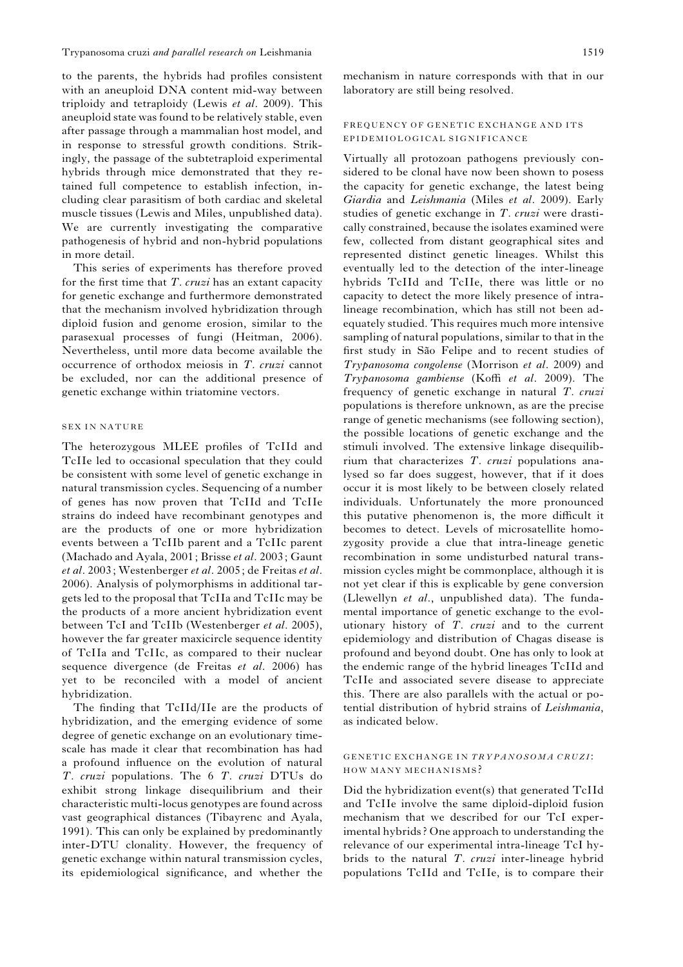to the parents, the hybrids had profiles consistent with an aneuploid DNA content mid-way between triploidy and tetraploidy (Lewis et al. 2009). This aneuploid state was found to be relatively stable, even after passage through a mammalian host model, and in response to stressful growth conditions. Strikingly, the passage of the subtetraploid experimental hybrids through mice demonstrated that they retained full competence to establish infection, including clear parasitism of both cardiac and skeletal muscle tissues (Lewis and Miles, unpublished data). We are currently investigating the comparative pathogenesis of hybrid and non-hybrid populations in more detail.

This series of experiments has therefore proved for the first time that  $T$ . cruzi has an extant capacity for genetic exchange and furthermore demonstrated that the mechanism involved hybridization through diploid fusion and genome erosion, similar to the parasexual processes of fungi (Heitman, 2006). Nevertheless, until more data become available the occurrence of orthodox meiosis in T. cruzi cannot be excluded, nor can the additional presence of genetic exchange within triatomine vectors.

#### SEX IN NATURE

The heterozygous MLEE profiles of TcIId and TcIIe led to occasional speculation that they could be consistent with some level of genetic exchange in natural transmission cycles. Sequencing of a number of genes has now proven that TcIId and TcIIe strains do indeed have recombinant genotypes and are the products of one or more hybridization events between a TcIIb parent and a TcIIc parent (Machado and Ayala, 2001; Brisse et al. 2003; Gaunt et al. 2003; Westenberger et al. 2005; de Freitas et al. 2006). Analysis of polymorphisms in additional targets led to the proposal that TcIIa and TcIIc may be the products of a more ancient hybridization event between TcI and TcIIb (Westenberger et al. 2005), however the far greater maxicircle sequence identity of TcIIa and TcIIc, as compared to their nuclear sequence divergence (de Freitas et al. 2006) has yet to be reconciled with a model of ancient hybridization.

The finding that TcIId/IIe are the products of hybridization, and the emerging evidence of some degree of genetic exchange on an evolutionary timescale has made it clear that recombination has had a profound influence on the evolution of natural T. cruzi populations. The 6 T. cruzi DTUs do exhibit strong linkage disequilibrium and their characteristic multi-locus genotypes are found across vast geographical distances (Tibayrenc and Ayala, 1991). This can only be explained by predominantly inter-DTU clonality. However, the frequency of genetic exchange within natural transmission cycles, its epidemiological significance, and whether the

mechanism in nature corresponds with that in our laboratory are still being resolved.

## FREQUENCY OF GENETIC EXCHANGE AND ITS EPIDEMIOLOGICAL SIGNIFICANCE

Virtually all protozoan pathogens previously considered to be clonal have now been shown to posess the capacity for genetic exchange, the latest being Giardia and Leishmania (Miles et al. 2009). Early studies of genetic exchange in T. cruzi were drastically constrained, because the isolates examined were few, collected from distant geographical sites and represented distinct genetic lineages. Whilst this eventually led to the detection of the inter-lineage hybrids TcIId and TcIIe, there was little or no capacity to detect the more likely presence of intralineage recombination, which has still not been adequately studied. This requires much more intensive sampling of natural populations, similar to that in the first study in São Felipe and to recent studies of Trypanosoma congolense (Morrison et al. 2009) and Trypanosoma gambiense (Koffi et al. 2009). The frequency of genetic exchange in natural T. cruzi populations is therefore unknown, as are the precise range of genetic mechanisms (see following section), the possible locations of genetic exchange and the stimuli involved. The extensive linkage disequilibrium that characterizes T. cruzi populations analysed so far does suggest, however, that if it does occur it is most likely to be between closely related individuals. Unfortunately the more pronounced this putative phenomenon is, the more difficult it becomes to detect. Levels of microsatellite homozygosity provide a clue that intra-lineage genetic recombination in some undisturbed natural transmission cycles might be commonplace, although it is not yet clear if this is explicable by gene conversion (Llewellyn et al., unpublished data). The fundamental importance of genetic exchange to the evolutionary history of T. cruzi and to the current epidemiology and distribution of Chagas disease is profound and beyond doubt. One has only to look at the endemic range of the hybrid lineages TcIId and TcIIe and associated severe disease to appreciate this. There are also parallels with the actual or potential distribution of hybrid strains of Leishmania, as indicated below.

## GENETIC EXCHANGE IN TRYPANOSOMA CRUZI: HOW MANY MECHANISMS?

Did the hybridization event(s) that generated TcIId and TcIIe involve the same diploid-diploid fusion mechanism that we described for our TcI experimental hybrids? One approach to understanding the relevance of our experimental intra-lineage TcI hybrids to the natural T. cruzi inter-lineage hybrid populations TcIId and TcIIe, is to compare their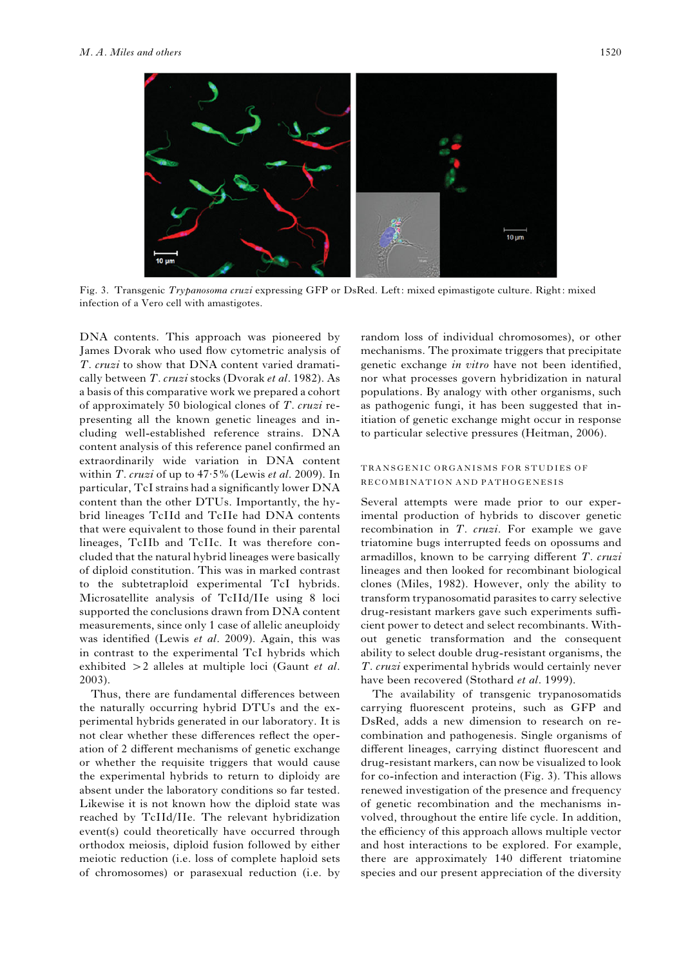

Fig. 3. Transgenic Trypanosoma cruzi expressing GFP or DsRed. Left: mixed epimastigote culture. Right: mixed infection of a Vero cell with amastigotes.

DNA contents. This approach was pioneered by James Dvorak who used flow cytometric analysis of T. cruzi to show that DNA content varied dramatically between T. cruzi stocks (Dvorak et al. 1982). As a basis of this comparative work we prepared a cohort of approximately 50 biological clones of T. cruzi representing all the known genetic lineages and including well-established reference strains. DNA content analysis of this reference panel confirmed an extraordinarily wide variation in DNA content within *T. cruzi* of up to  $47.5\%$  (Lewis *et al.* 2009). In particular, TcI strains had a significantly lower DNA content than the other DTUs. Importantly, the hybrid lineages TcIId and TcIIe had DNA contents that were equivalent to those found in their parental lineages, TcIIb and TcIIc. It was therefore concluded that the natural hybrid lineages were basically of diploid constitution. This was in marked contrast to the subtetraploid experimental TcI hybrids. Microsatellite analysis of TcIId/IIe using 8 loci supported the conclusions drawn from DNA content measurements, since only 1 case of allelic aneuploidy was identified (Lewis et al. 2009). Again, this was in contrast to the experimental TcI hybrids which exhibited  $>2$  alleles at multiple loci (Gaunt *et al.*) 2003).

Thus, there are fundamental differences between the naturally occurring hybrid DTUs and the experimental hybrids generated in our laboratory. It is not clear whether these differences reflect the operation of 2 different mechanisms of genetic exchange or whether the requisite triggers that would cause the experimental hybrids to return to diploidy are absent under the laboratory conditions so far tested. Likewise it is not known how the diploid state was reached by TcIId/IIe. The relevant hybridization event(s) could theoretically have occurred through orthodox meiosis, diploid fusion followed by either meiotic reduction (i.e. loss of complete haploid sets of chromosomes) or parasexual reduction (i.e. by

random loss of individual chromosomes), or other mechanisms. The proximate triggers that precipitate genetic exchange in vitro have not been identified, nor what processes govern hybridization in natural populations. By analogy with other organisms, such as pathogenic fungi, it has been suggested that initiation of genetic exchange might occur in response to particular selective pressures (Heitman, 2006).

## TRANSGENIC ORGANISMS FOR STUDIES OF RECOMBINATION AND PATHOGENESIS

Several attempts were made prior to our experimental production of hybrids to discover genetic recombination in T. cruzi. For example we gave triatomine bugs interrupted feeds on opossums and armadillos, known to be carrying different T. cruzi lineages and then looked for recombinant biological clones (Miles, 1982). However, only the ability to transform trypanosomatid parasites to carry selective drug-resistant markers gave such experiments sufficient power to detect and select recombinants. Without genetic transformation and the consequent ability to select double drug-resistant organisms, the T. cruzi experimental hybrids would certainly never have been recovered (Stothard *et al.* 1999).

The availability of transgenic trypanosomatids carrying fluorescent proteins, such as GFP and DsRed, adds a new dimension to research on recombination and pathogenesis. Single organisms of different lineages, carrying distinct fluorescent and drug-resistant markers, can now be visualized to look for co-infection and interaction (Fig. 3). This allows renewed investigation of the presence and frequency of genetic recombination and the mechanisms involved, throughout the entire life cycle. In addition, the efficiency of this approach allows multiple vector and host interactions to be explored. For example, there are approximately 140 different triatomine species and our present appreciation of the diversity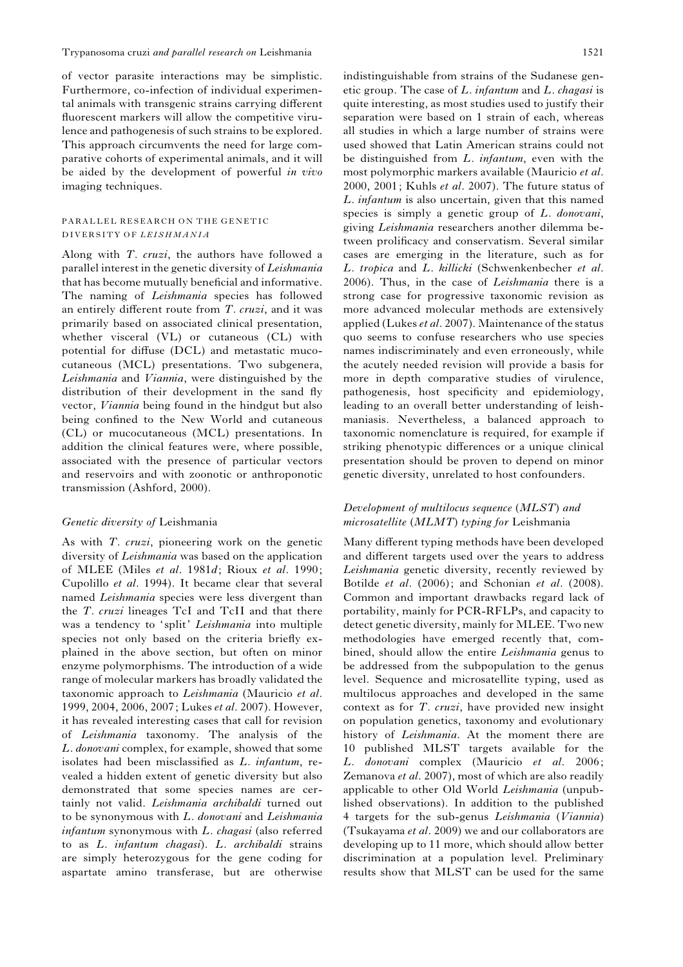of vector parasite interactions may be simplistic. Furthermore, co-infection of individual experimental animals with transgenic strains carrying different fluorescent markers will allow the competitive virulence and pathogenesis of such strains to be explored. This approach circumvents the need for large comparative cohorts of experimental animals, and it will be aided by the development of powerful in vivo imaging techniques.

# PARALLEL RESEARCH ON THE GENETIC DIVERSITY OF LEISHMANIA

Along with T. cruzi, the authors have followed a parallel interest in the genetic diversity of Leishmania that has become mutually beneficial and informative. The naming of Leishmania species has followed an entirely different route from T. cruzi, and it was primarily based on associated clinical presentation, whether visceral (VL) or cutaneous (CL) with potential for diffuse (DCL) and metastatic mucocutaneous (MCL) presentations. Two subgenera, Leishmania and Viannia, were distinguished by the distribution of their development in the sand fly vector, Viannia being found in the hindgut but also being confined to the New World and cutaneous (CL) or mucocutaneous (MCL) presentations. In addition the clinical features were, where possible, associated with the presence of particular vectors and reservoirs and with zoonotic or anthroponotic transmission (Ashford, 2000).

## Genetic diversity of Leishmania

As with T. cruzi, pioneering work on the genetic diversity of Leishmania was based on the application of MLEE (Miles et al. 1981d; Rioux et al. 1990; Cupolillo et al. 1994). It became clear that several named Leishmania species were less divergent than the T. cruzi lineages TcI and TcII and that there was a tendency to 'split' Leishmania into multiple species not only based on the criteria briefly explained in the above section, but often on minor enzyme polymorphisms. The introduction of a wide range of molecular markers has broadly validated the taxonomic approach to Leishmania (Mauricio et al. 1999, 2004, 2006, 2007; Lukes et al. 2007). However, it has revealed interesting cases that call for revision of Leishmania taxonomy. The analysis of the L. donovani complex, for example, showed that some isolates had been misclassified as L. infantum, revealed a hidden extent of genetic diversity but also demonstrated that some species names are certainly not valid. Leishmania archibaldi turned out to be synonymous with L. donovani and Leishmania infantum synonymous with L. chagasi (also referred to as L. infantum chagasi). L. archibaldi strains are simply heterozygous for the gene coding for aspartate amino transferase, but are otherwise

indistinguishable from strains of the Sudanese genetic group. The case of  $L$ . infantum and  $L$ . chagasi is quite interesting, as most studies used to justify their separation were based on 1 strain of each, whereas all studies in which a large number of strains were used showed that Latin American strains could not be distinguished from L. infantum, even with the most polymorphic markers available (Mauricio et al. 2000, 2001; Kuhls et al. 2007). The future status of L. infantum is also uncertain, given that this named species is simply a genetic group of L. donovani, giving Leishmania researchers another dilemma between prolificacy and conservatism. Several similar cases are emerging in the literature, such as for L. tropica and L. killicki (Schwenkenbecher et al. 2006). Thus, in the case of Leishmania there is a strong case for progressive taxonomic revision as more advanced molecular methods are extensively applied (Lukes et al. 2007). Maintenance of the status quo seems to confuse researchers who use species names indiscriminately and even erroneously, while the acutely needed revision will provide a basis for more in depth comparative studies of virulence, pathogenesis, host specificity and epidemiology, leading to an overall better understanding of leishmaniasis. Nevertheless, a balanced approach to taxonomic nomenclature is required, for example if striking phenotypic differences or a unique clinical presentation should be proven to depend on minor genetic diversity, unrelated to host confounders.

# Development of multilocus sequence (MLST) and microsatellite (MLMT) typing for Leishmania

Many different typing methods have been developed and different targets used over the years to address Leishmania genetic diversity, recently reviewed by Botilde et al. (2006); and Schonian et al. (2008). Common and important drawbacks regard lack of portability, mainly for PCR-RFLPs, and capacity to detect genetic diversity, mainly for MLEE. Two new methodologies have emerged recently that, combined, should allow the entire Leishmania genus to be addressed from the subpopulation to the genus level. Sequence and microsatellite typing, used as multilocus approaches and developed in the same context as for T. cruzi, have provided new insight on population genetics, taxonomy and evolutionary history of Leishmania. At the moment there are 10 published MLST targets available for the L. donovani complex (Mauricio et al. 2006; Zemanova et al. 2007), most of which are also readily applicable to other Old World Leishmania (unpublished observations). In addition to the published 4 targets for the sub-genus Leishmania (Viannia) (Tsukayama et al. 2009) we and our collaborators are developing up to 11 more, which should allow better discrimination at a population level. Preliminary results show that MLST can be used for the same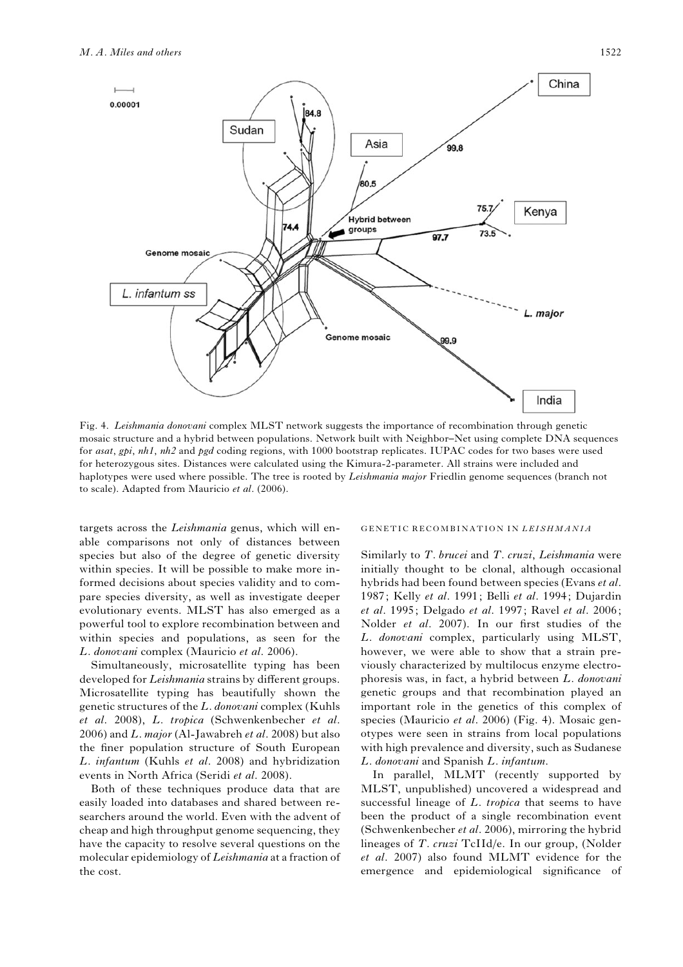

Fig. 4. Leishmania donovani complex MLST network suggests the importance of recombination through genetic mosaic structure and a hybrid between populations. Network built with Neighbor–Net using complete DNA sequences for *asat, gpi, nh1, nh2* and *pgd* coding regions, with 1000 bootstrap replicates. IUPAC codes for two bases were used for heterozygous sites. Distances were calculated using the Kimura-2-parameter. All strains were included and haplotypes were used where possible. The tree is rooted by Leishmania major Friedlin genome sequences (branch not to scale). Adapted from Mauricio et al. (2006).

targets across the Leishmania genus, which will enable comparisons not only of distances between species but also of the degree of genetic diversity within species. It will be possible to make more informed decisions about species validity and to compare species diversity, as well as investigate deeper evolutionary events. MLST has also emerged as a powerful tool to explore recombination between and within species and populations, as seen for the L. donovani complex (Mauricio et al. 2006).

Simultaneously, microsatellite typing has been developed for *Leishmania* strains by different groups. Microsatellite typing has beautifully shown the genetic structures of the L. donovani complex (Kuhls et al. 2008), L. tropica (Schwenkenbecher et al. 2006) and  $L.$  major (Al-Jawabreh et al. 2008) but also the finer population structure of South European L. infantum (Kuhls et al. 2008) and hybridization events in North Africa (Seridi et al. 2008).

Both of these techniques produce data that are easily loaded into databases and shared between researchers around the world. Even with the advent of cheap and high throughput genome sequencing, they have the capacity to resolve several questions on the molecular epidemiology of Leishmania at a fraction of the cost.

#### GENETIC RECOMBINATION IN LEISHMANIA

Similarly to T. brucei and T. cruzi, Leishmania were initially thought to be clonal, although occasional hybrids had been found between species (Evans et al. 1987; Kelly et al. 1991; Belli et al. 1994; Dujardin et al. 1995; Delgado et al. 1997; Ravel et al. 2006; Nolder et al. 2007). In our first studies of the L. donovani complex, particularly using MLST, however, we were able to show that a strain previously characterized by multilocus enzyme electrophoresis was, in fact, a hybrid between L. donovani genetic groups and that recombination played an important role in the genetics of this complex of species (Mauricio et al. 2006) (Fig. 4). Mosaic genotypes were seen in strains from local populations with high prevalence and diversity, such as Sudanese L. donovani and Spanish L. infantum.

In parallel, MLMT (recently supported by MLST, unpublished) uncovered a widespread and successful lineage of L. tropica that seems to have been the product of a single recombination event (Schwenkenbecher et al. 2006), mirroring the hybrid lineages of T. cruzi TcIId/e. In our group, (Nolder et al. 2007) also found MLMT evidence for the emergence and epidemiological significance of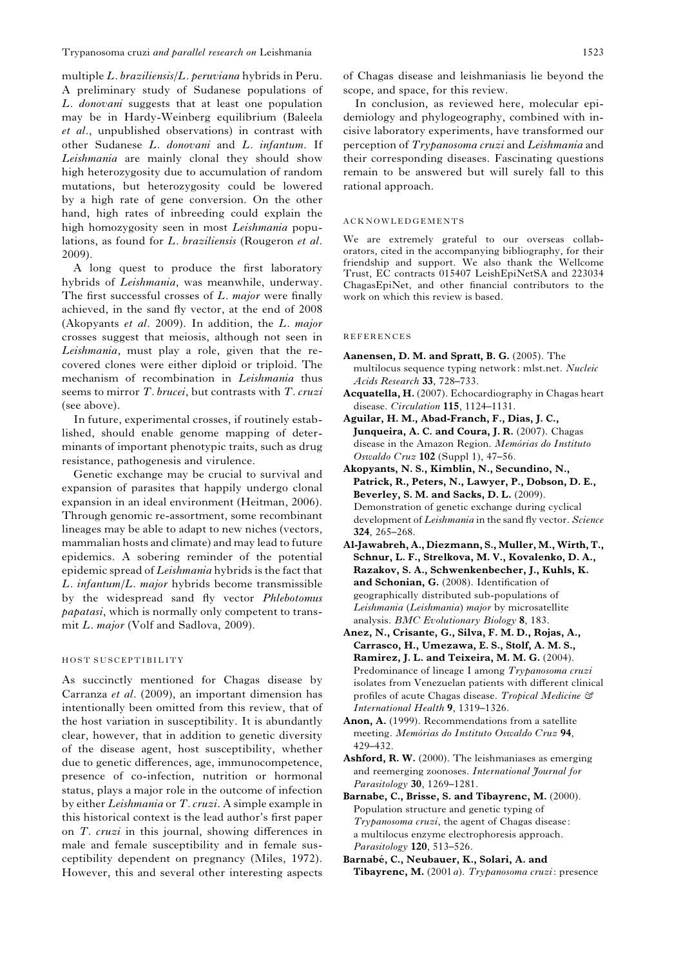multiple L. braziliensis/L. peruviana hybrids in Peru. A preliminary study of Sudanese populations of L. donovani suggests that at least one population may be in Hardy-Weinberg equilibrium (Baleela et al., unpublished observations) in contrast with other Sudanese L. donovani and L. infantum. If Leishmania are mainly clonal they should show high heterozygosity due to accumulation of random mutations, but heterozygosity could be lowered by a high rate of gene conversion. On the other hand, high rates of inbreeding could explain the high homozygosity seen in most Leishmania populations, as found for L. braziliensis (Rougeron et al. 2009).

A long quest to produce the first laboratory hybrids of Leishmania, was meanwhile, underway. The first successful crosses of  $L$ . *major* were finally achieved, in the sand fly vector, at the end of 2008 (Akopyants et al. 2009). In addition, the L. major crosses suggest that meiosis, although not seen in Leishmania, must play a role, given that the recovered clones were either diploid or triploid. The mechanism of recombination in Leishmania thus seems to mirror T. brucei, but contrasts with T. cruzi (see above).

In future, experimental crosses, if routinely established, should enable genome mapping of determinants of important phenotypic traits, such as drug resistance, pathogenesis and virulence.

Genetic exchange may be crucial to survival and expansion of parasites that happily undergo clonal expansion in an ideal environment (Heitman, 2006). Through genomic re-assortment, some recombinant lineages may be able to adapt to new niches (vectors, mammalian hosts and climate) and may lead to future epidemics. A sobering reminder of the potential epidemic spread of Leishmania hybrids is the fact that L. infantum/L. major hybrids become transmissible by the widespread sand fly vector Phlebotomus papatasi, which is normally only competent to transmit L. major (Volf and Sadlova, 2009).

# HOST SUSCEPTIBILITY

As succinctly mentioned for Chagas disease by Carranza et al. (2009), an important dimension has intentionally been omitted from this review, that of the host variation in susceptibility. It is abundantly clear, however, that in addition to genetic diversity of the disease agent, host susceptibility, whether due to genetic differences, age, immunocompetence, presence of co-infection, nutrition or hormonal status, plays a major role in the outcome of infection by either Leishmania or T. cruzi. A simple example in this historical context is the lead author's first paper on T. cruzi in this journal, showing differences in male and female susceptibility and in female susceptibility dependent on pregnancy (Miles, 1972). However, this and several other interesting aspects

of Chagas disease and leishmaniasis lie beyond the scope, and space, for this review.

In conclusion, as reviewed here, molecular epidemiology and phylogeography, combined with incisive laboratory experiments, have transformed our perception of Trypanosoma cruzi and Leishmania and their corresponding diseases. Fascinating questions remain to be answered but will surely fall to this rational approach.

#### ACKNOWLEDGEMENTS

We are extremely grateful to our overseas collaborators, cited in the accompanying bibliography, for their friendship and support. We also thank the Wellcome Trust, EC contracts 015407 LeishEpiNetSA and 223034 ChagasEpiNet, and other financial contributors to the work on which this review is based.

#### REFERENCES

- Aanensen, D. M. and Spratt, B. G. (2005). The multilocus sequence typing network: mlst.net. Nucleic Acids Research 33, 728–733.
- Acquatella, H. (2007). Echocardiography in Chagas heart disease. Circulation 115, 1124–1131.
- Aguilar, H. M., Abad-Franch, F., Dias, J. C., Junqueira, A. C. and Coura, J. R. (2007). Chagas disease in the Amazon Region. Memórias do Instituto Oswaldo Cruz 102 (Suppl 1), 47–56.
- Akopyants, N. S., Kimblin, N., Secundino, N., Patrick, R., Peters, N., Lawyer, P., Dobson, D. E., Beverley, S. M. and Sacks, D. L. (2009). Demonstration of genetic exchange during cyclical development of Leishmania in the sand fly vector. Science 324, 265–268.
- Al-Jawabreh, A., Diezmann, S., Muller, M., Wirth, T., Schnur, L. F., Strelkova, M. V., Kovalenko, D. A., Razakov, S. A., Schwenkenbecher, J., Kuhls, K. and Schonian, G. (2008). Identification of geographically distributed sub-populations of Leishmania (Leishmania) major by microsatellite analysis. BMC Evolutionary Biology 8, 183.
- Anez, N., Crisante, G., Silva, F. M. D., Rojas, A., Carrasco, H., Umezawa, E. S., Stolf, A. M. S., Ramirez, J. L. and Teixeira, M. M. G. (2004). Predominance of lineage I among Trypanosoma cruzi isolates from Venezuelan patients with different clinical profiles of acute Chagas disease. Tropical Medicine & International Health 9, 1319–1326.
- Anon, A. (1999). Recommendations from a satellite meeting. Memórias do Instituto Oswaldo Cruz 94, 429–432.
- Ashford, R. W. (2000). The leishmaniases as emerging and reemerging zoonoses. International Journal for Parasitology 30, 1269–1281.
- Barnabe, C., Brisse, S. and Tibayrenc, M. (2000). Population structure and genetic typing of Trypanosoma cruzi, the agent of Chagas disease: a multilocus enzyme electrophoresis approach. Parasitology 120, 513-526.
- Barnabé, C., Neubauer, K., Solari, A. and Tibayrenc, M. (2001a). Trypanosoma cruzi: presence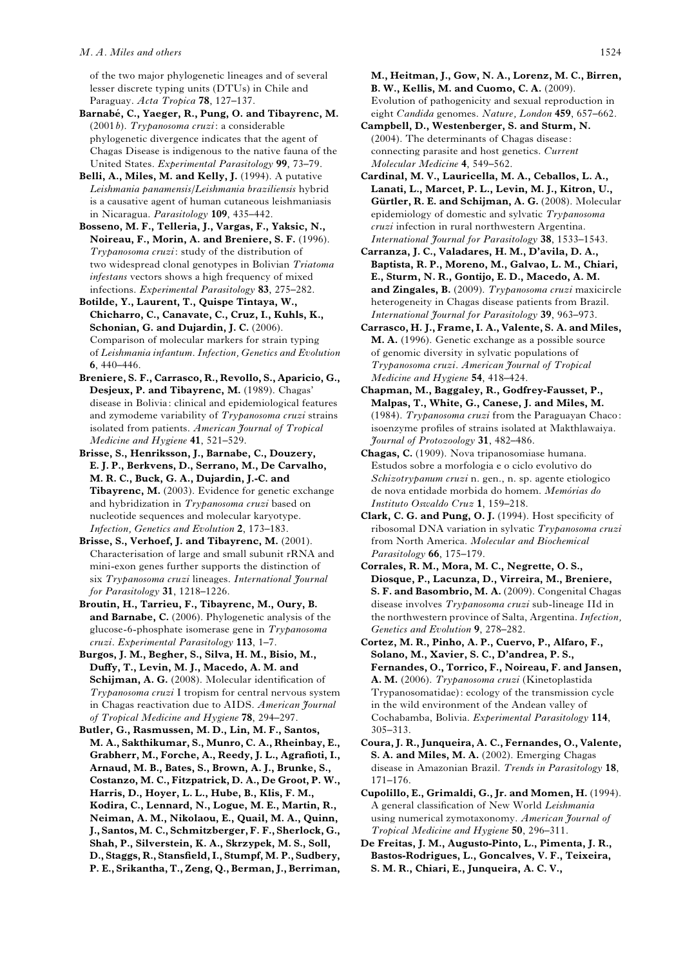of the two major phylogenetic lineages and of several lesser discrete typing units (DTUs) in Chile and Paraguay. Acta Tropica 78, 127-137.

Barnabé, C., Yaeger, R., Pung, O. and Tibayrenc, M. (2001b). Trypanosoma cruzi: a considerable phylogenetic divergence indicates that the agent of Chagas Disease is indigenous to the native fauna of the United States. Experimental Parasitology 99, 73–79.

Belli, A., Miles, M. and Kelly, J. (1994). A putative Leishmania panamensis/Leishmania braziliensis hybrid is a causative agent of human cutaneous leishmaniasis in Nicaragua. Parasitology 109, 435–442.

Bosseno, M. F., Telleria, J., Vargas, F., Yaksic, N., Noireau, F., Morin, A. and Breniere, S. F. (1996). Trypanosoma cruzi: study of the distribution of two widespread clonal genotypes in Bolivian Triatoma infestans vectors shows a high frequency of mixed infections. Experimental Parasitology 83, 275–282.

Botilde, Y., Laurent, T., Quispe Tintaya, W., Chicharro, C., Canavate, C., Cruz, I., Kuhls, K., Schonian, G. and Dujardin, J. C. (2006). Comparison of molecular markers for strain typing of Leishmania infantum. Infection, Genetics and Evolution 6, 440–446.

Breniere, S. F., Carrasco, R., Revollo, S., Aparicio, G., Desjeux, P. and Tibayrenc, M. (1989). Chagas' disease in Bolivia: clinical and epidemiological features and zymodeme variability of Trypanosoma cruzi strains isolated from patients. American Journal of Tropical Medicine and Hygiene 41, 521–529.

Brisse, S., Henriksson, J., Barnabe, C., Douzery, E. J. P., Berkvens, D., Serrano, M., De Carvalho, M. R. C., Buck, G. A., Dujardin, J.-C. and Tibayrenc, M. (2003). Evidence for genetic exchange and hybridization in Trypanosoma cruzi based on nucleotide sequences and molecular karyotype. Infection, Genetics and Evolution 2, 173–183.

Brisse, S., Verhoef, J. and Tibayrenc, M. (2001). Characterisation of large and small subunit rRNA and mini-exon genes further supports the distinction of six Trypanosoma cruzi lineages. International Journal for Parasitology 31, 1218-1226.

Broutin, H., Tarrieu, F., Tibayrenc, M., Oury, B. and Barnabe, C. (2006). Phylogenetic analysis of the glucose-6-phosphate isomerase gene in Trypanosoma cruzi. Experimental Parasitology 113, 1–7.

Burgos, J. M., Begher, S., Silva, H. M., Bisio, M., Duffy, T., Levin, M. J., Macedo, A. M. and Schijman, A. G. (2008). Molecular identification of Trypanosoma cruzi I tropism for central nervous system in Chagas reactivation due to AIDS. American Journal of Tropical Medicine and Hygiene 78, 294–297.

Butler, G., Rasmussen, M. D., Lin, M. F., Santos, M. A., Sakthikumar, S., Munro, C. A., Rheinbay, E., Grabherr, M., Forche, A., Reedy, J. L., Agrafioti, I., Arnaud, M. B., Bates, S., Brown, A. J., Brunke, S., Costanzo, M. C., Fitzpatrick, D. A., De Groot, P. W., Harris, D., Hoyer, L. L., Hube, B., Klis, F. M., Kodira, C., Lennard, N., Logue, M. E., Martin, R., Neiman, A. M., Nikolaou, E., Quail, M. A., Quinn, J., Santos, M. C., Schmitzberger, F. F., Sherlock, G., Shah, P., Silverstein, K. A., Skrzypek, M. S., Soll, D., Staggs, R., Stansfield, I., Stumpf, M. P., Sudbery, P. E., Srikantha, T., Zeng, Q., Berman, J., Berriman, M., Heitman, J., Gow, N. A., Lorenz, M. C., Birren, B. W., Kellis, M. and Cuomo, C. A. (2009). Evolution of pathogenicity and sexual reproduction in eight Candida genomes. Nature, London 459, 657–662.

Campbell, D., Westenberger, S. and Sturm, N. (2004). The determinants of Chagas disease: connecting parasite and host genetics. Current Molecular Medicine 4, 549–562.

Cardinal, M. V., Lauricella, M. A., Ceballos, L. A., Lanati, L., Marcet, P. L., Levin, M. J., Kitron, U., Gürtler, R. E. and Schijman, A. G. (2008). Molecular epidemiology of domestic and sylvatic Trypanosoma cruzi infection in rural northwestern Argentina. International Journal for Parasitology 38, 1533–1543.

- Carranza, J. C., Valadares, H. M., D'avila, D. A., Baptista, R. P., Moreno, M., Galvao, L. M., Chiari, E., Sturm, N. R., Gontijo, E. D., Macedo, A. M. and Zingales, B. (2009). Trypanosoma cruzi maxicircle heterogeneity in Chagas disease patients from Brazil. International Journal for Parasitology 39, 963–973.
- Carrasco, H. J., Frame, I. A., Valente, S. A. and Miles, M. A. (1996). Genetic exchange as a possible source of genomic diversity in sylvatic populations of Trypanosoma cruzi. American Journal of Tropical Medicine and Hygiene 54, 418–424.
- Chapman, M., Baggaley, R., Godfrey-Fausset, P., Malpas, T., White, G., Canese, J. and Miles, M. (1984). Trypanosoma cruzi from the Paraguayan Chaco: isoenzyme profiles of strains isolated at Makthlawaiya. Journal of Protozoology 31, 482–486.

Chagas, C. (1909). Nova tripanosomiase humana. Estudos sobre a morfologia e o ciclo evolutivo do Schizotrypanum cruzi n. gen., n. sp. agente etiologico de nova entidade morbida do homem. Memórias do Instituto Oswaldo Cruz 1, 159–218.

Clark, C. G. and Pung, O. J. (1994). Host specificity of ribosomal DNA variation in sylvatic Trypanosoma cruzi from North America. Molecular and Biochemical Parasitology 66, 175-179.

Corrales, R. M., Mora, M. C., Negrette, O. S., Diosque, P., Lacunza, D., Virreira, M., Breniere, S. F. and Basombrio, M. A. (2009). Congenital Chagas disease involves Trypanosoma cruzi sub-lineage IId in the northwestern province of Salta, Argentina. Infection, Genetics and Evolution 9, 278–282.

Cortez, M. R., Pinho, A. P., Cuervo, P., Alfaro, F., Solano, M., Xavier, S. C., D'andrea, P. S., Fernandes, O., Torrico, F., Noireau, F. and Jansen, A. M. (2006). Trypanosoma cruzi (Kinetoplastida Trypanosomatidae): ecology of the transmission cycle in the wild environment of the Andean valley of Cochabamba, Bolivia. Experimental Parasitology 114, 305–313.

- Coura, J. R., Junqueira, A. C., Fernandes, O., Valente, S. A. and Miles, M. A. (2002). Emerging Chagas disease in Amazonian Brazil. Trends in Parasitology 18, 171–176.
- Cupolillo, E., Grimaldi, G., Jr. and Momen, H. (1994). A general classification of New World Leishmania using numerical zymotaxonomy. American Journal of Tropical Medicine and Hygiene 50, 296–311.

De Freitas, J. M., Augusto-Pinto, L., Pimenta, J. R., Bastos-Rodrigues, L., Goncalves, V. F., Teixeira, S. M. R., Chiari, E., Junqueira, A. C. V.,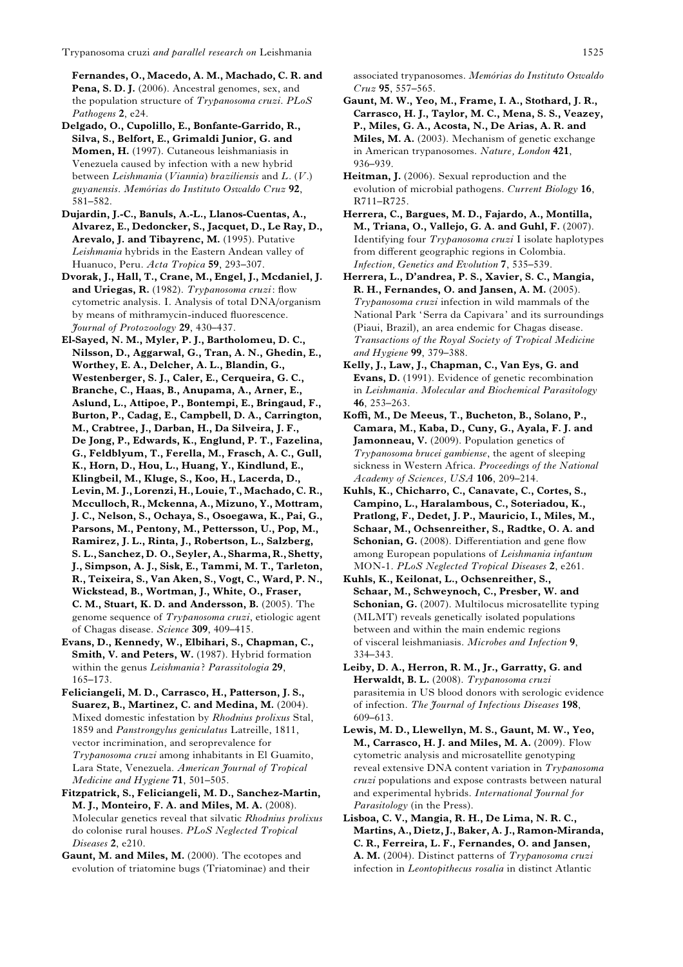Trypanosoma cruzi and parallel research on Leishmania 1525

Fernandes, O., Macedo, A. M., Machado, C. R. and Pena, S. D. J. (2006). Ancestral genomes, sex, and the population structure of Trypanosoma cruzi. PLoS Pathogens 2, e24.

Delgado, O., Cupolillo, E., Bonfante-Garrido, R., Silva, S., Belfort, E., Grimaldi Junior, G. and Momen, H. (1997). Cutaneous leishmaniasis in Venezuela caused by infection with a new hybrid between Leishmania (Viannia) braziliensis and L. (V.) guyanensis. Memórias do Instituto Oswaldo Cruz 92, 581–582.

Dujardin, J.-C., Banuls, A.-L., Llanos-Cuentas, A., Alvarez, E., Dedoncker, S., Jacquet, D., Le Ray, D., Arevalo, J. and Tibayrenc, M. (1995). Putative Leishmania hybrids in the Eastern Andean valley of Huanuco, Peru. Acta Tropica 59, 293-307.

Dvorak, J., Hall, T., Crane, M., Engel, J., Mcdaniel, J. and Uriegas, R. (1982). Trypanosoma cruzi: flow cytometric analysis. I. Analysis of total DNA/organism by means of mithramycin-induced fluorescence. Journal of Protozoology 29, 430–437.

El-Sayed, N. M., Myler, P. J., Bartholomeu, D. C., Nilsson, D., Aggarwal, G., Tran, A. N., Ghedin, E., Worthey, E. A., Delcher, A. L., Blandin, G., Westenberger, S. J., Caler, E., Cerqueira, G. C., Branche, C., Haas, B., Anupama, A., Arner, E., Aslund, L., Attipoe, P., Bontempi, E., Bringaud, F., Burton, P., Cadag, E., Campbell, D. A., Carrington, M., Crabtree, J., Darban, H., Da Silveira, J. F., De Jong, P., Edwards, K., Englund, P. T., Fazelina, G., Feldblyum, T., Ferella, M., Frasch, A. C., Gull, K., Horn, D., Hou, L., Huang, Y., Kindlund, E., Klingbeil, M., Kluge, S., Koo, H., Lacerda, D., Levin, M. J., Lorenzi, H., Louie, T., Machado, C. R., Mcculloch, R., Mckenna, A., Mizuno, Y., Mottram, J. C., Nelson, S., Ochaya, S., Osoegawa, K., Pai, G., Parsons, M., Pentony, M., Pettersson, U., Pop, M., Ramirez, J. L., Rinta, J., Robertson, L., Salzberg, S. L., Sanchez, D. O., Seyler, A., Sharma, R., Shetty, J., Simpson, A. J., Sisk, E., Tammi, M. T., Tarleton, R., Teixeira, S., Van Aken, S., Vogt, C., Ward, P. N., Wickstead, B., Wortman, J., White, O., Fraser, C. M., Stuart, K. D. and Andersson, B. (2005). The genome sequence of Trypanosoma cruzi, etiologic agent of Chagas disease. Science 309, 409–415.

Evans, D., Kennedy, W., Elbihari, S., Chapman, C., Smith, V. and Peters, W. (1987). Hybrid formation within the genus Leishmania? Parassitologia 29, 165–173.

Feliciangeli, M. D., Carrasco, H., Patterson, J. S., Suarez, B., Martinez, C. and Medina, M. (2004). Mixed domestic infestation by Rhodnius prolixus Stal, 1859 and Panstrongylus geniculatus Latreille, 1811, vector incrimination, and seroprevalence for Trypanosoma cruzi among inhabitants in El Guamito, Lara State, Venezuela. American Journal of Tropical Medicine and Hygiene 71, 501–505.

Fitzpatrick, S., Feliciangeli, M. D., Sanchez-Martin, M. J., Monteiro, F. A. and Miles, M. A. (2008). Molecular genetics reveal that silvatic Rhodnius prolixus do colonise rural houses. PLoS Neglected Tropical Diseases 2, e210.

Gaunt, M. and Miles, M. (2000). The ecotopes and evolution of triatomine bugs (Triatominae) and their Gaunt, M. W., Yeo, M., Frame, I. A., Stothard, J. R., Carrasco, H. J., Taylor, M. C., Mena, S. S., Veazey, P., Miles, G. A., Acosta, N., De Arias, A. R. and Miles, M. A. (2003). Mechanism of genetic exchange in American trypanosomes. Nature, London 421, 936–939.

Heitman, J. (2006). Sexual reproduction and the evolution of microbial pathogens. Current Biology 16, R711–R725.

Herrera, C., Bargues, M. D., Fajardo, A., Montilla, M., Triana, O., Vallejo, G. A. and Guhl, F. (2007). Identifying four Trypanosoma cruzi I isolate haplotypes from different geographic regions in Colombia. Infection, Genetics and Evolution 7, 535–539.

Herrera, L., D'andrea, P. S., Xavier, S. C., Mangia, R. H., Fernandes, O. and Jansen, A. M. (2005). Trypanosoma cruzi infection in wild mammals of the National Park 'Serra da Capivara' and its surroundings (Piaui, Brazil), an area endemic for Chagas disease. Transactions of the Royal Society of Tropical Medicine and Hygiene 99, 379–388.

Kelly, J., Law, J., Chapman, C., Van Eys, G. and Evans, D. (1991). Evidence of genetic recombination in Leishmania. Molecular and Biochemical Parasitology 46, 253–263.

Koffi, M., De Meeus, T., Bucheton, B., Solano, P., Camara, M., Kaba, D., Cuny, G., Ayala, F. J. and Jamonneau, V. (2009). Population genetics of Trypanosoma brucei gambiense, the agent of sleeping sickness in Western Africa. Proceedings of the National Academy of Sciences, USA 106, 209–214.

Kuhls, K., Chicharro, C., Canavate, C., Cortes, S., Campino, L., Haralambous, C., Soteriadou, K., Pratlong, F., Dedet, J. P., Mauricio, I., Miles, M., Schaar, M., Ochsenreither, S., Radtke, O. A. and Schonian, G. (2008). Differentiation and gene flow among European populations of Leishmania infantum MON-1. PLoS Neglected Tropical Diseases 2, e261.

Kuhls, K., Keilonat, L., Ochsenreither, S., Schaar, M., Schweynoch, C., Presber, W. and Schonian, G. (2007). Multilocus microsatellite typing (MLMT) reveals genetically isolated populations between and within the main endemic regions of visceral leishmaniasis. Microbes and Infection 9, 334–343.

Leiby, D. A., Herron, R. M., Jr., Garratty, G. and Herwaldt, B. L. (2008). Trypanosoma cruzi parasitemia in US blood donors with serologic evidence of infection. The Journal of Infectious Diseases 198, 609–613.

Lewis, M. D., Llewellyn, M. S., Gaunt, M. W., Yeo, M., Carrasco, H. J. and Miles, M. A. (2009). Flow cytometric analysis and microsatellite genotyping reveal extensive DNA content variation in Trypanosoma cruzi populations and expose contrasts between natural and experimental hybrids. International Journal for Parasitology (in the Press).

Lisboa, C. V., Mangia, R. H., De Lima, N. R. C., Martins, A., Dietz, J., Baker, A. J., Ramon-Miranda, C. R., Ferreira, L. F., Fernandes, O. and Jansen, A. M. (2004). Distinct patterns of Trypanosoma cruzi infection in Leontopithecus rosalia in distinct Atlantic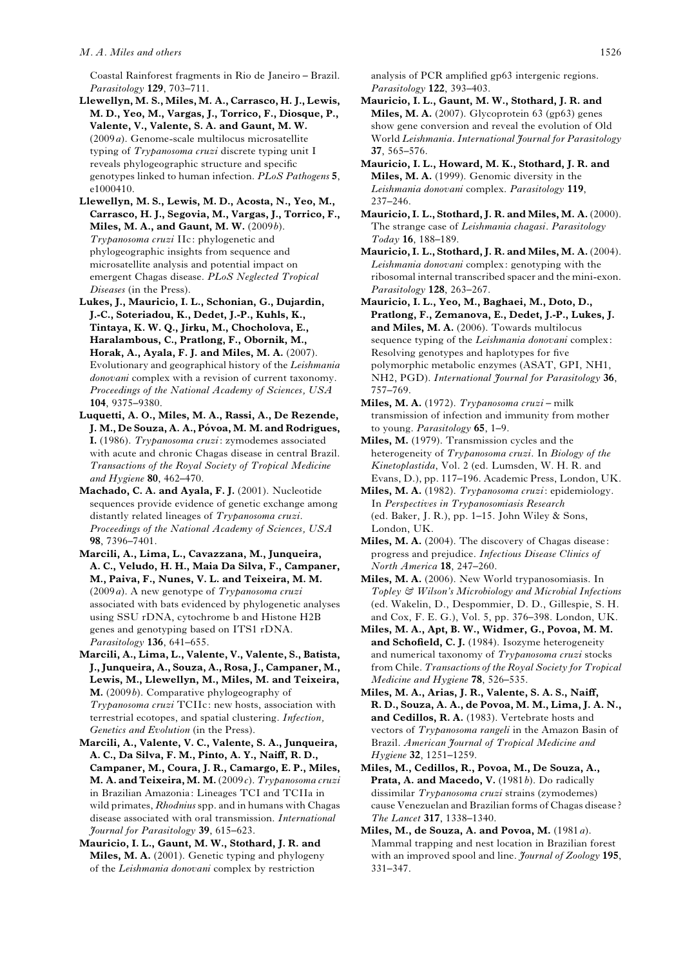Coastal Rainforest fragments in Rio de Janeiro – Brazil. Parasitology 129, 703–711.

Llewellyn, M. S., Miles, M. A., Carrasco, H. J., Lewis, M. D., Yeo, M., Vargas, J., Torrico, F., Diosque, P., Valente, V., Valente, S. A. and Gaunt, M. W.  $(2009a)$ . Genome-scale multilocus microsatellite typing of Trypanosoma cruzi discrete typing unit I reveals phylogeographic structure and specific genotypes linked to human infection. PLoS Pathogens 5, e1000410.

Llewellyn, M. S., Lewis, M. D., Acosta, N., Yeo, M., Carrasco, H. J., Segovia, M., Vargas, J., Torrico, F., Miles, M. A., and Gaunt, M. W. (2009b). Trypanosoma cruzi IIc: phylogenetic and phylogeographic insights from sequence and microsatellite analysis and potential impact on emergent Chagas disease. PLoS Neglected Tropical Diseases (in the Press).

Lukes, J., Mauricio, I. L., Schonian, G., Dujardin, J.-C., Soteriadou, K., Dedet, J.-P., Kuhls, K., Tintaya, K. W. Q., Jirku, M., Chocholova, E., Haralambous, C., Pratlong, F., Obornik, M., Horak, A., Ayala, F. J. and Miles, M. A. (2007). Evolutionary and geographical history of the Leishmania donovani complex with a revision of current taxonomy. Proceedings of the National Academy of Sciences, USA 104, 9375–9380.

Luquetti, A. O., Miles, M. A., Rassi, A., De Rezende, J. M., De Souza, A. A., Póvoa, M. M. and Rodrigues, I. (1986). Trypanosoma cruzi: zymodemes associated with acute and chronic Chagas disease in central Brazil. Transactions of the Royal Society of Tropical Medicine and Hygiene  $80, 462-470$ .

Machado, C. A. and Ayala, F. J. (2001). Nucleotide sequences provide evidence of genetic exchange among distantly related lineages of Trypanosoma cruzi. Proceedings of the National Academy of Sciences, USA 98, 7396–7401.

Marcili, A., Lima, L., Cavazzana, M., Junqueira, A. C., Veludo, H. H., Maia Da Silva, F., Campaner, M., Paiva, F., Nunes, V. L. and Teixeira, M. M.  $(2009a)$ . A new genotype of Trypanosoma cruzi associated with bats evidenced by phylogenetic analyses using SSU rDNA, cytochrome b and Histone H2B genes and genotyping based on ITS1 rDNA. Parasitology 136, 641-655.

Marcili, A., Lima, L., Valente, V., Valente, S., Batista, J., Junqueira, A., Souza, A., Rosa, J., Campaner, M., Lewis, M., Llewellyn, M., Miles, M. and Teixeira, M. (2009b). Comparative phylogeography of Trypanosoma cruzi TCIIc: new hosts, association with terrestrial ecotopes, and spatial clustering. Infection, Genetics and Evolution (in the Press).

Marcili, A., Valente, V. C., Valente, S. A., Junqueira, A. C., Da Silva, F. M., Pinto, A. Y., Naiff, R. D., Campaner, M., Coura, J. R., Camargo, E. P., Miles, M. A. and Teixeira, M. M. (2009 $c$ ). Trypanosoma cruzi in Brazilian Amazonia: Lineages TCI and TCIIa in wild primates, *Rhodnius* spp. and in humans with Chagas disease associated with oral transmission. International Journal for Parasitology 39, 615–623.

Mauricio, I. L., Gaunt, M. W., Stothard, J. R. and Miles, M. A. (2001). Genetic typing and phylogeny of the Leishmania donovani complex by restriction

analysis of PCR amplified gp63 intergenic regions. Parasitology 122, 393-403.

Mauricio, I. L., Gaunt, M. W., Stothard, J. R. and Miles, M. A. (2007). Glycoprotein 63 (gp63) genes show gene conversion and reveal the evolution of Old World Leishmania. International Journal for Parasitology 37, 565–576.

Mauricio, I. L., Howard, M. K., Stothard, J. R. and Miles, M. A. (1999). Genomic diversity in the Leishmania donovani complex. Parasitology 119, 237–246.

Mauricio, I. L., Stothard, J. R. and Miles, M. A. (2000). The strange case of Leishmania chagasi. Parasitology Today 16, 188–189.

Mauricio, I. L., Stothard, J. R. and Miles, M. A. (2004). Leishmania donovani complex: genotyping with the ribosomal internal transcribed spacer and the mini-exon. Parasitology 128, 263-267.

Mauricio, I. L., Yeo, M., Baghaei, M., Doto, D., Pratlong, F., Zemanova, E., Dedet, J.-P., Lukes, J. and Miles, M. A. (2006). Towards multilocus sequence typing of the Leishmania donovani complex: Resolving genotypes and haplotypes for five polymorphic metabolic enzymes (ASAT, GPI, NH1, NH2, PGD). International Journal for Parasitology 36, 757–769.

Miles, M. A. (1972). Trypanosoma cruzi – milk transmission of infection and immunity from mother to young. Parasitology 65, 1-9.

Miles, M. (1979). Transmission cycles and the heterogeneity of Trypanosoma cruzi. In Biology of the Kinetoplastida, Vol. 2 (ed. Lumsden, W. H. R. and Evans, D.), pp. 117–196. Academic Press, London, UK.

Miles, M. A. (1982). Trypanosoma cruzi: epidemiology. In Perspectives in Trypanosomiasis Research (ed. Baker, J. R.), pp. 1–15. John Wiley & Sons, London, UK.

Miles, M. A. (2004). The discovery of Chagas disease: progress and prejudice. Infectious Disease Clinics of North America 18, 247–260.

Miles, M. A. (2006). New World trypanosomiasis. In Topley & Wilson's Microbiology and Microbial Infections (ed. Wakelin, D., Despommier, D. D., Gillespie, S. H. and Cox, F. E. G.), Vol. 5, pp. 376–398. London, UK.

Miles, M. A., Apt, B. W., Widmer, G., Povoa, M. M. and Schofield, C. J. (1984). Isozyme heterogeneity and numerical taxonomy of Trypanosoma cruzi stocks from Chile. Transactions of the Royal Society for Tropical Medicine and Hygiene **78**, 526–535.

Miles, M. A., Arias, J. R., Valente, S. A. S., Naiff, R. D., Souza, A. A., de Povoa, M. M., Lima, J. A. N., and Cedillos, R. A. (1983). Vertebrate hosts and vectors of Trypanosoma rangeli in the Amazon Basin of Brazil. American Journal of Tropical Medicine and Hygiene 32, 1251–1259.

Miles, M., Cedillos, R., Povoa, M., De Souza, A., Prata, A. and Macedo, V.  $(1981b)$ . Do radically dissimilar Trypanosoma cruzi strains (zymodemes) cause Venezuelan and Brazilian forms of Chagas disease ? The Lancet 317, 1338–1340.

Miles, M., de Souza, A. and Povoa, M. (1981a). Mammal trapping and nest location in Brazilian forest with an improved spool and line. *Journal of Zoology* 195, 331–347.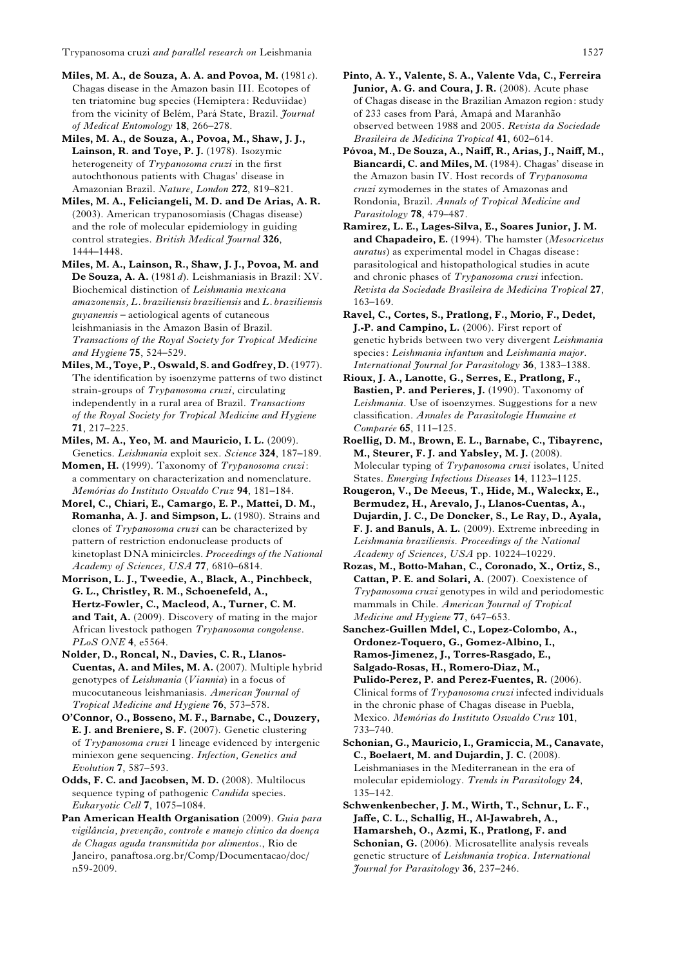Miles, M. A., de Souza, A. A. and Povoa, M.  $(1981c)$ . Chagas disease in the Amazon basin III. Ecotopes of ten triatomine bug species (Hemiptera: Reduviidae) from the vicinity of Belém, Pará State, Brazil. Journal of Medical Entomology 18, 266–278.

Miles, M. A., de Souza, A., Povoa, M., Shaw, J. J., Lainson, R. and Toye, P. J. (1978). Isozymic heterogeneity of Trypanosoma cruzi in the first autochthonous patients with Chagas' disease in Amazonian Brazil. Nature, London 272, 819–821.

Miles, M. A., Feliciangeli, M. D. and De Arias, A. R. (2003). American trypanosomiasis (Chagas disease) and the role of molecular epidemiology in guiding control strategies. British Medical Journal 326, 1444–1448.

Miles, M. A., Lainson, R., Shaw, J. J., Povoa, M. and De Souza, A. A. (1981d). Leishmaniasis in Brazil: XV. Biochemical distinction of Leishmania mexicana amazonensis, L. braziliensis braziliensis and L. braziliensis guyanensis – aetiological agents of cutaneous leishmaniasis in the Amazon Basin of Brazil. Transactions of the Royal Society for Tropical Medicine and Hygiene 75, 524–529.

Miles, M., Toye, P., Oswald, S. and Godfrey, D. (1977). The identification by isoenzyme patterns of two distinct strain-groups of Trypanosoma cruzi, circulating independently in a rural area of Brazil. Transactions of the Royal Society for Tropical Medicine and Hygiene 71, 217–225.

Miles, M. A., Yeo, M. and Mauricio, I. L. (2009). Genetics. Leishmania exploit sex. Science 324, 187–189.

Momen, H. (1999). Taxonomy of Trypanosoma cruzi: a commentary on characterization and nomenclature. Memórias do Instituto Oswaldo Cruz 94, 181-184.

Morel, C., Chiari, E., Camargo, E. P., Mattei, D. M., Romanha, A. J. and Simpson, L. (1980). Strains and clones of Trypanosoma cruzi can be characterized by pattern of restriction endonuclease products of kinetoplast DNA minicircles. Proceedings of the National Academy of Sciences, USA 77, 6810–6814.

Morrison, L. J., Tweedie, A., Black, A., Pinchbeck, G. L., Christley, R. M., Schoenefeld, A., Hertz-Fowler, C., Macleod, A., Turner, C. M. and Tait, A. (2009). Discovery of mating in the major African livestock pathogen Trypanosoma congolense. PLoS ONE 4, e5564.

Nolder, D., Roncal, N., Davies, C. R., Llanos-Cuentas, A. and Miles, M. A. (2007). Multiple hybrid genotypes of Leishmania (Viannia) in a focus of mucocutaneous leishmaniasis. American Journal of Tropical Medicine and Hygiene 76, 573–578.

O'Connor, O., Bosseno, M. F., Barnabe, C., Douzery, E. J. and Breniere, S. F. (2007). Genetic clustering of Trypanosoma cruzi I lineage evidenced by intergenic miniexon gene sequencing. Infection, Genetics and Evolution 7, 587–593.

Odds, F. C. and Jacobsen, M. D. (2008). Multilocus sequence typing of pathogenic *Candida* species. Eukaryotic Cell 7, 1075–1084.

Pan American Health Organisation (2009). Guia para vigilância, prevenção, controle e manejo clinico da doença de Chagas aguda transmitida por alimentos., Rio de Janeiro, panaftosa.org.br/Comp/Documentacao/doc/ n59-2009.

Pinto, A. Y., Valente, S. A., Valente Vda, C., Ferreira Junior, A. G. and Coura, J. R. (2008). Acute phase of Chagas disease in the Brazilian Amazon region: study of 233 cases from Pará, Amapá and Maranhão observed between 1988 and 2005. Revista da Sociedade Brasileira de Medicina Tropical 41, 602–614.

Póvoa, M., De Souza, A., Naiff, R., Arias, J., Naiff, M., Biancardi, C. and Miles, M. (1984). Chagas' disease in the Amazon basin IV. Host records of Trypanosoma cruzi zymodemes in the states of Amazonas and Rondonia, Brazil. Annals of Tropical Medicine and Parasitology 78, 479–487.

Ramirez, L. E., Lages-Silva, E., Soares Junior, J. M. and Chapadeiro, E. (1994). The hamster (Mesocricetus auratus) as experimental model in Chagas disease: parasitological and histopathological studies in acute and chronic phases of Trypanosoma cruzi infection. Revista da Sociedade Brasileira de Medicina Tropical 27, 163–169.

Ravel, C., Cortes, S., Pratlong, F., Morio, F., Dedet, J.-P. and Campino, L. (2006). First report of genetic hybrids between two very divergent Leishmania species: Leishmania infantum and Leishmania major. International Journal for Parasitology 36, 1383–1388.

Rioux, J. A., Lanotte, G., Serres, E., Pratlong, F., Bastien, P. and Perieres, J. (1990). Taxonomy of Leishmania. Use of isoenzymes. Suggestions for a new classification. Annales de Parasitologie Humaine et Comparée 65, 111-125.

Roellig, D. M., Brown, E. L., Barnabe, C., Tibayrenc, M., Steurer, F. J. and Yabsley, M. J. (2008). Molecular typing of Trypanosoma cruzi isolates, United States. Emerging Infectious Diseases 14, 1123–1125.

Rougeron, V., De Meeus, T., Hide, M., Waleckx, E., Bermudez, H., Arevalo, J., Llanos-Cuentas, A., Dujardin, J. C., De Doncker, S., Le Ray, D., Ayala, F. J. and Banuls, A. L. (2009). Extreme inbreeding in Leishmania braziliensis. Proceedings of the National Academy of Sciences, USA pp. 10224–10229.

Rozas, M., Botto-Mahan, C., Coronado, X., Ortiz, S., Cattan, P. E. and Solari, A. (2007). Coexistence of Trypanosoma cruzi genotypes in wild and periodomestic mammals in Chile. American Journal of Tropical Medicine and Hygiene 77, 647–653.

Sanchez-Guillen Mdel, C., Lopez-Colombo, A., Ordonez-Toquero, G., Gomez-Albino, I., Ramos-Jimenez, J., Torres-Rasgado, E., Salgado-Rosas, H., Romero-Diaz, M., Pulido-Perez, P. and Perez-Fuentes, R. (2006). Clinical forms of Trypanosoma cruzi infected individuals in the chronic phase of Chagas disease in Puebla, Mexico. Memórias do Instituto Oswaldo Cruz 101, 733–740.

Schonian, G., Mauricio, I., Gramiccia, M., Canavate, C., Boelaert, M. and Dujardin, J. C. (2008). Leishmaniases in the Mediterranean in the era of molecular epidemiology. Trends in Parasitology 24, 135–142.

Schwenkenbecher, J. M., Wirth, T., Schnur, L. F., Jaffe, C. L., Schallig, H., Al-Jawabreh, A., Hamarsheh, O., Azmi, K., Pratlong, F. and Schonian, G. (2006). Microsatellite analysis reveals genetic structure of Leishmania tropica. International Journal for Parasitology 36, 237–246.